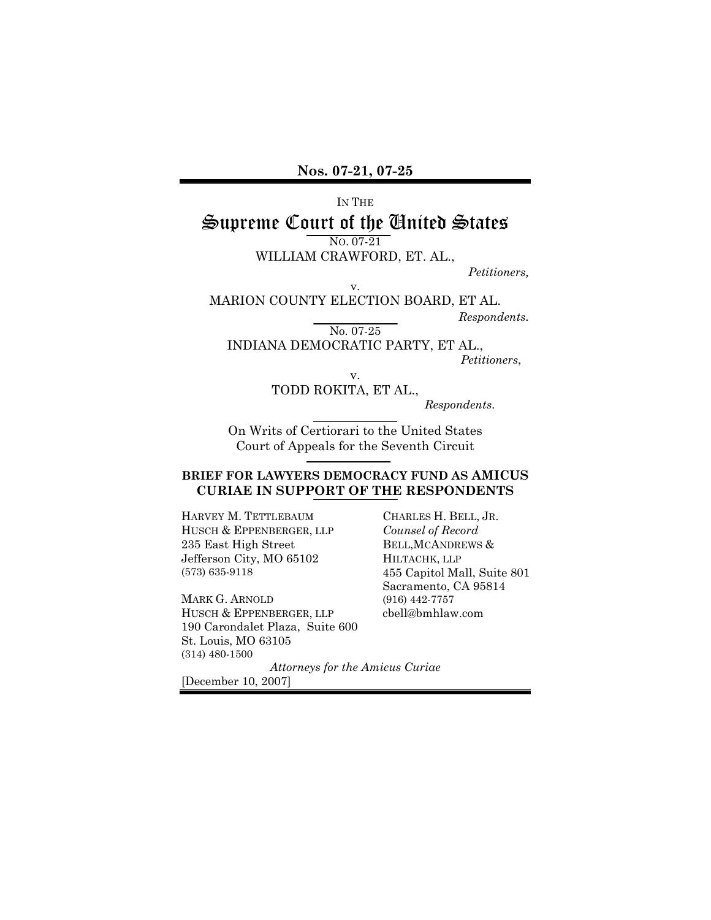### IN THE

# Supreme Court of the United States

NO. 07-21

WILLIAM CRAWFORD, ET. AL.,

*Petitioners,* 

v. MARION COUNTY ELECTION BOARD, ET AL.

*Respondents.* 

No. 07-25

INDIANA DEMOCRATIC PARTY, ET AL., *Petitioners*,

v.

TODD ROKITA, ET AL., *Respondents*.

On Writs of Certiorari to the United States Court of Appeals for the Seventh Circuit

#### **BRIEF FOR LAWYERS DEMOCRACY FUND AS AMICUS CURIAE IN SUPPORT OF THE RESPONDENTS**

HARVEY M. TETTLEBAUM HUSCH & EPPENBERGER, LLP 235 East High Street Jefferson City, MO 65102 (573) 635-9118

MARK G. ARNOLD HUSCH & EPPENBERGER, LLP 190 Carondalet Plaza, Suite 600 St. Louis, MO 63105 (314) 480-1500

CHARLES H. BELL, JR. *Counsel of Record* BELL,MCANDREWS & HILTACHK, LLP 455 Capitol Mall, Suite 801 Sacramento, CA 95814 (916) 442-7757 cbell@bmhlaw.com

*Attorneys for the Amicus Curiae*

[December 10, 2007]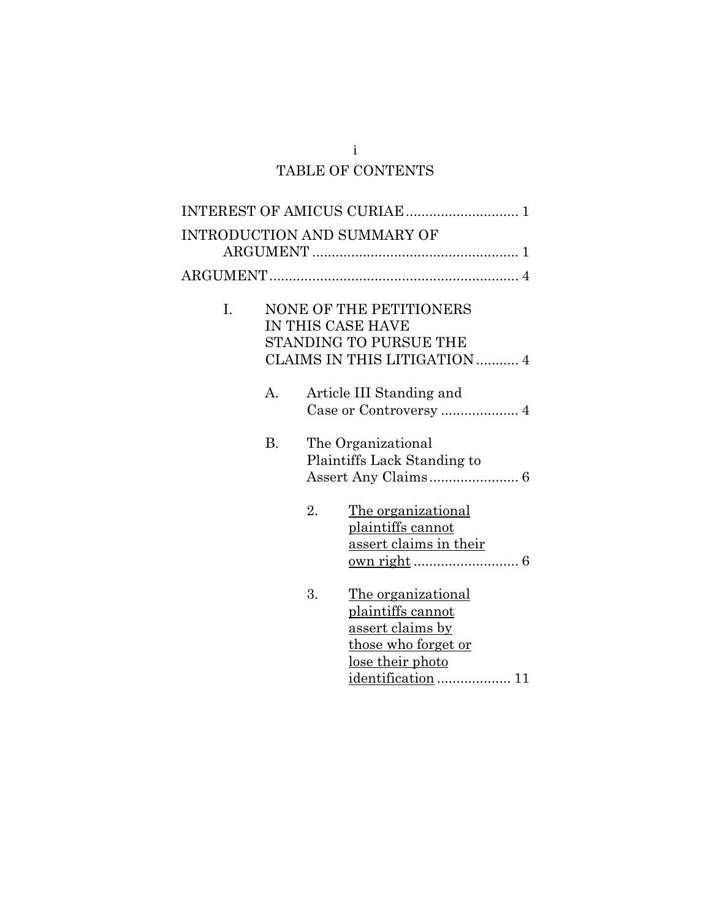# i TABLE OF CONTENTS

|    |                                                                                                               |    | <b>INTRODUCTION AND SUMMARY OF</b>                                                                                                                |
|----|---------------------------------------------------------------------------------------------------------------|----|---------------------------------------------------------------------------------------------------------------------------------------------------|
|    |                                                                                                               |    |                                                                                                                                                   |
| I. | <b>NONE OF THE PETITIONERS</b><br>IN THIS CASE HAVE<br>STANDING TO PURSUE THE<br>CLAIMS IN THIS LITIGATION  4 |    |                                                                                                                                                   |
|    | A.                                                                                                            |    | Article III Standing and<br>Case or Controversy  4                                                                                                |
|    | <b>B.</b>                                                                                                     |    | The Organizational<br>Plaintiffs Lack Standing to                                                                                                 |
|    |                                                                                                               | 2. | <u>The organizational</u><br>plaintiffs cannot<br>assert claims in their                                                                          |
|    |                                                                                                               | 3. | The organizational<br>plaintiffs cannot<br><u>assert claims by</u><br><u>those who forget or</u><br><u>lose their photo</u><br>identification  11 |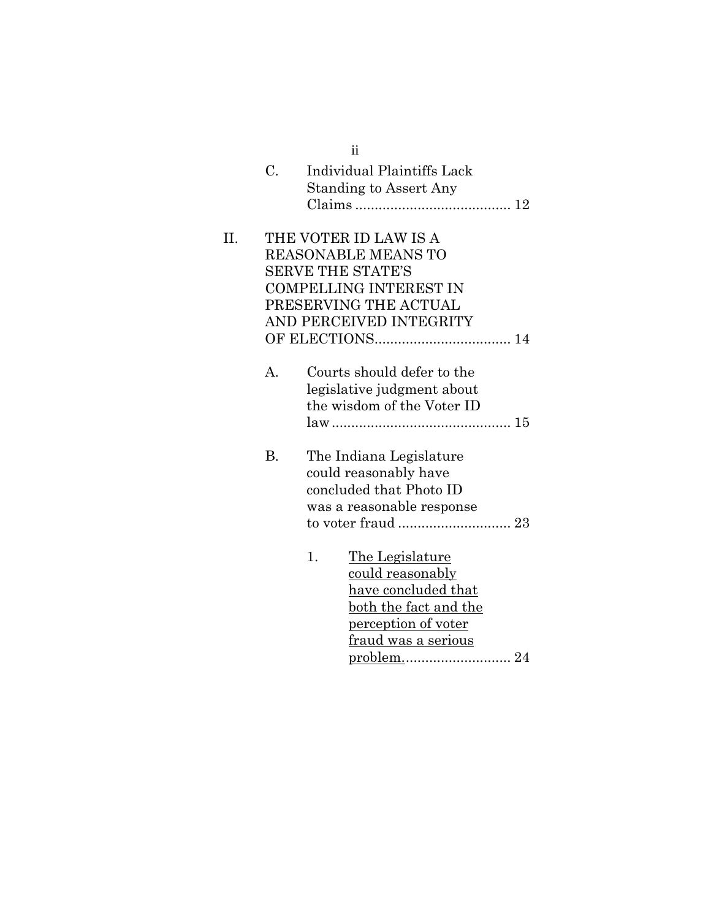|     |                                                           | 11                                                       |  |  |
|-----|-----------------------------------------------------------|----------------------------------------------------------|--|--|
|     | $C_{\cdot}$                                               | Individual Plaintiffs Lack                               |  |  |
|     |                                                           | <b>Standing to Assert Any</b>                            |  |  |
|     |                                                           |                                                          |  |  |
| II. |                                                           | THE VOTER ID LAW IS A                                    |  |  |
|     |                                                           | <b>REASONABLE MEANS TO</b>                               |  |  |
|     |                                                           |                                                          |  |  |
|     | <b>SERVE THE STATE'S</b><br><b>COMPELLING INTEREST IN</b> |                                                          |  |  |
|     | PRESERVING THE ACTUAL                                     |                                                          |  |  |
|     | AND PERCEIVED INTEGRITY                                   |                                                          |  |  |
|     |                                                           |                                                          |  |  |
|     |                                                           |                                                          |  |  |
|     | A.                                                        | Courts should defer to the                               |  |  |
|     |                                                           |                                                          |  |  |
|     |                                                           | legislative judgment about<br>the wisdom of the Voter ID |  |  |
|     |                                                           |                                                          |  |  |
|     |                                                           |                                                          |  |  |
|     | <b>B.</b>                                                 | The Indiana Legislature                                  |  |  |
|     |                                                           | could reasonably have                                    |  |  |
|     |                                                           | concluded that Photo ID                                  |  |  |
|     |                                                           | was a reasonable response                                |  |  |
|     |                                                           |                                                          |  |  |
|     |                                                           |                                                          |  |  |
|     |                                                           | The Legislature<br>1.                                    |  |  |
|     |                                                           | <u>could reasonably</u>                                  |  |  |
|     |                                                           | <u>have concluded that</u>                               |  |  |
|     |                                                           | <u>both the fact and the</u>                             |  |  |
|     |                                                           | <u>perception</u> of voter                               |  |  |
|     |                                                           | <u>fraud was a serious</u>                               |  |  |
|     |                                                           |                                                          |  |  |
|     |                                                           |                                                          |  |  |

ii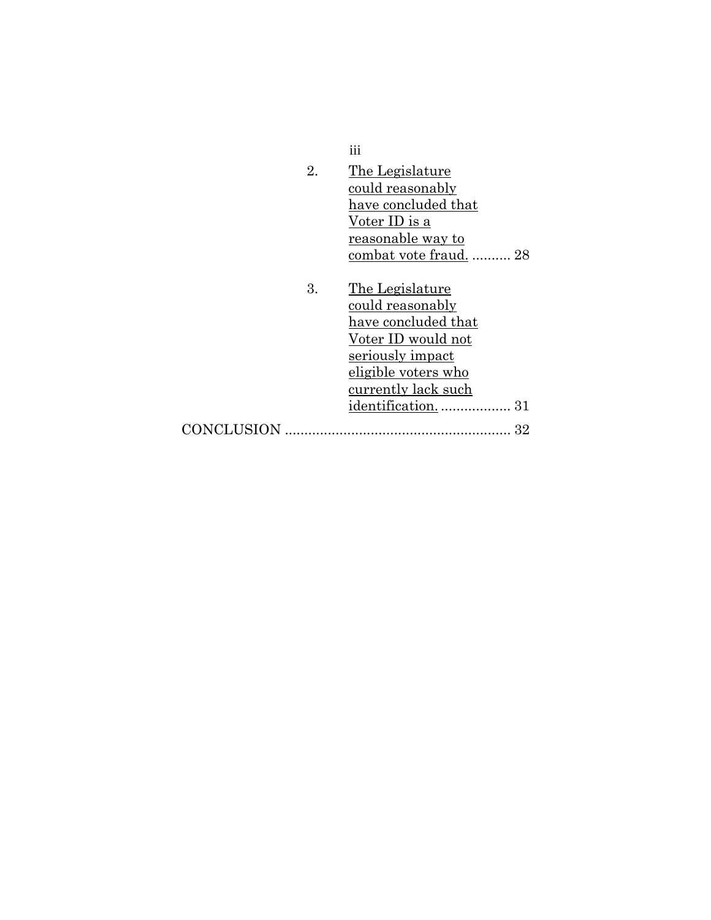|            | iii                    |
|------------|------------------------|
| 2.         | The Legislature        |
|            | could reasonably       |
|            | have concluded that    |
|            | Voter ID is a          |
|            | reasonable way to      |
|            | combat vote fraud.  28 |
|            |                        |
| 3.         | The Legislature        |
|            | could reasonably       |
|            | have concluded that    |
|            | Voter ID would not     |
|            | seriously impact       |
|            | eligible voters who    |
|            | currently lack such    |
|            |                        |
|            | identification<br>31   |
| CONCLUSION | 32                     |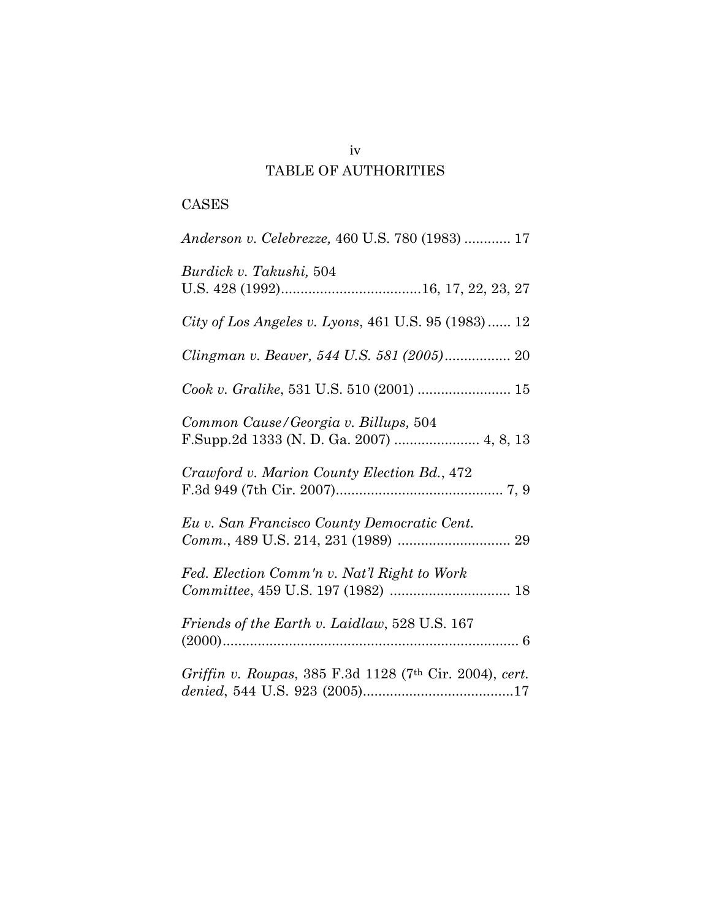# TABLE OF AUTHORITIES

# CASES

| Anderson v. Celebrezze, 460 U.S. 780 (1983)  17         |
|---------------------------------------------------------|
| Burdick v. Takushi, 504                                 |
| City of Los Angeles v. Lyons, 461 U.S. 95 (1983) 12     |
| Clingman v. Beaver, 544 U.S. 581 (2005) 20              |
|                                                         |
| Common Cause/Georgia v. Billups, 504                    |
| Crawford v. Marion County Election Bd., 472             |
| Eu v. San Francisco County Democratic Cent.             |
| Fed. Election Comm'n v. Nat'l Right to Work             |
| Friends of the Earth v. Laidlaw, 528 U.S. 167           |
| Griffin v. Roupas, 385 F.3d 1128 (7th Cir. 2004), cert. |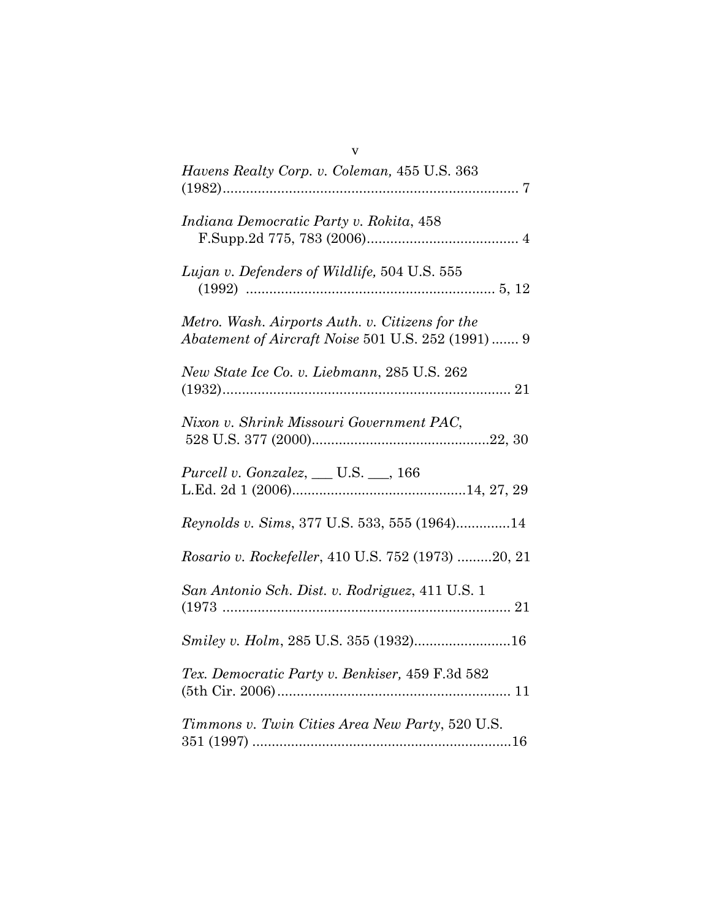| Havens Realty Corp. v. Coleman, 455 U.S. 363                                                          |
|-------------------------------------------------------------------------------------------------------|
| Indiana Democratic Party v. Rokita, 458                                                               |
| Lujan v. Defenders of Wildlife, 504 U.S. 555                                                          |
| Metro. Wash. Airports Auth. v. Citizens for the<br>Abatement of Aircraft Noise 501 U.S. 252 (1991)  9 |
| New State Ice Co. v. Liebmann, 285 U.S. 262                                                           |
| Nixon v. Shrink Missouri Government PAC,                                                              |
| <i>Purcell v. Gonzalez</i> , ___ U.S. __, 166                                                         |
| Reynolds v. Sims, 377 U.S. 533, 555 (1964)14                                                          |
| Rosario v. Rockefeller, 410 U.S. 752 (1973) 20, 21                                                    |
| San Antonio Sch. Dist. v. Rodriguez, 411 U.S. 1                                                       |
| Smiley v. Holm, 285 U.S. 355 (1932)16                                                                 |
| Tex. Democratic Party v. Benkiser, 459 F.3d 582                                                       |
| Timmons v. Twin Cities Area New Party, 520 U.S.                                                       |

v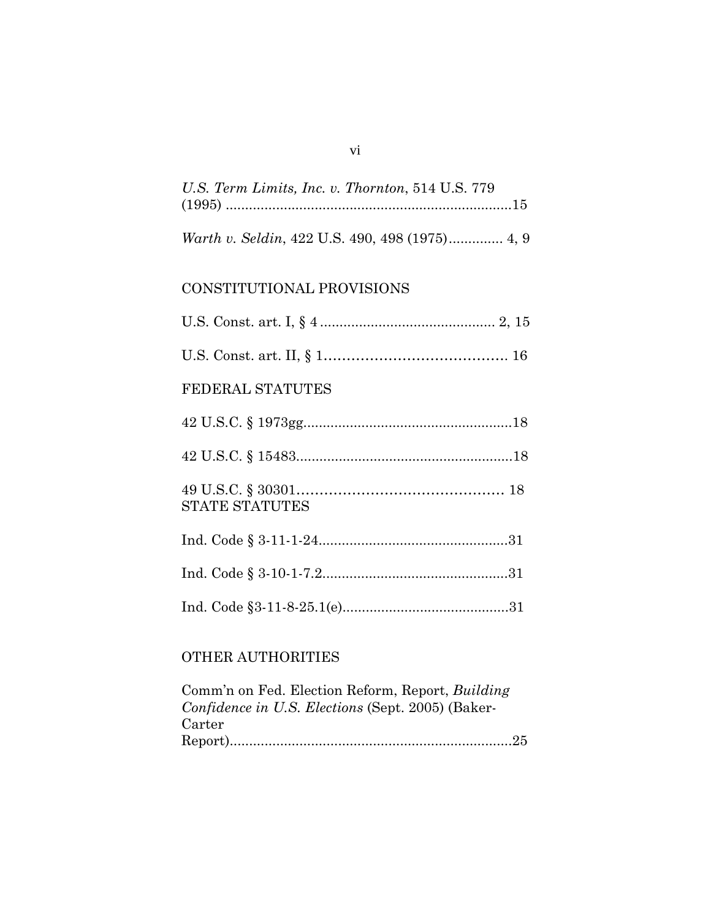| U.S. Term Limits, Inc. v. Thornton, 514 U.S. 779 |  |
|--------------------------------------------------|--|
|                                                  |  |
|                                                  |  |

# CONSTITUTIONAL PROVISIONS

| FEDERAL STATUTES      |  |
|-----------------------|--|
|                       |  |
|                       |  |
| <b>STATE STATUTES</b> |  |
|                       |  |
|                       |  |
|                       |  |

# OTHER AUTHORITIES

| Comm'n on Fed. Election Reform, Report, Building  |
|---------------------------------------------------|
| Confidence in U.S. Elections (Sept. 2005) (Baker- |
| Carter                                            |
|                                                   |

vi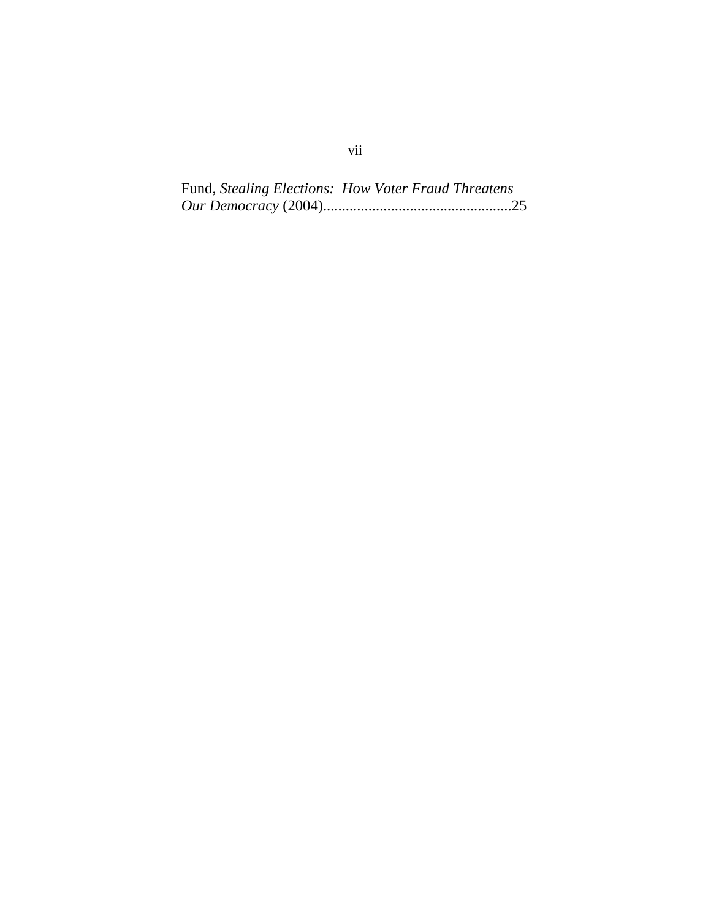Fund, *Stealing Elections: How Voter Fraud Threatens Our Democracy* (2004)..................................................25

# vii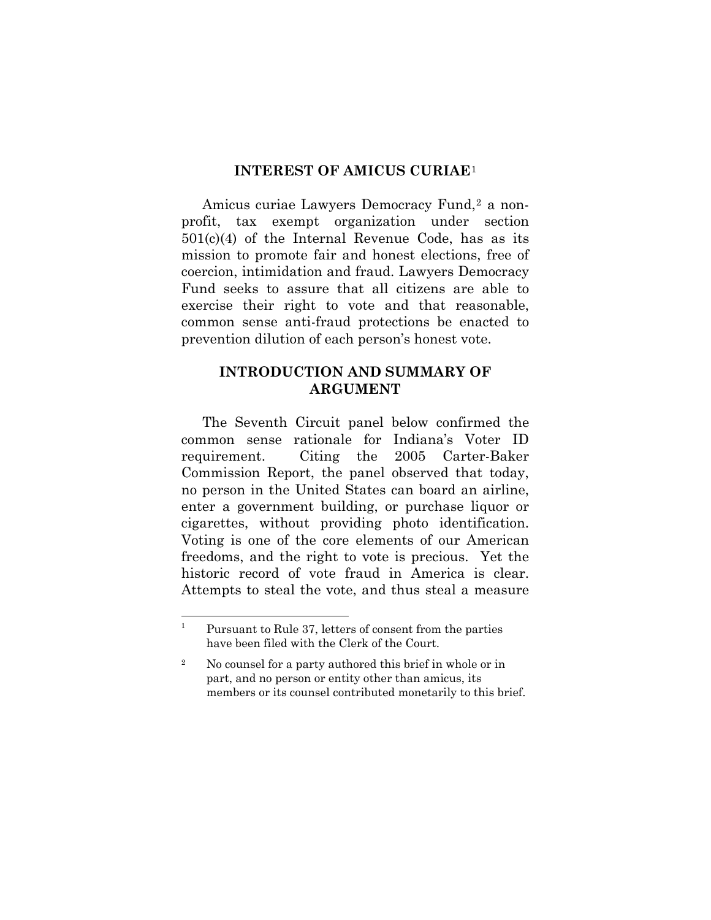#### **INTEREST OF AMICUS CURIAE**[1](#page-8-1)

<span id="page-8-0"></span>Amicus curiae Lawyers Democracy Fund,<sup>[2](#page-8-2)</sup> a nonprofit, tax exempt organization under section  $501(c)(4)$  of the Internal Revenue Code, has as its mission to promote fair and honest elections, free of coercion, intimidation and fraud. Lawyers Democracy Fund seeks to assure that all citizens are able to exercise their right to vote and that reasonable, common sense anti-fraud protections be enacted to prevention dilution of each person's honest vote.

### **INTRODUCTION AND SUMMARY OF ARGUMENT**

 The Seventh Circuit panel below confirmed the common sense rationale for Indiana's Voter ID requirement. Citing the 2005 Carter-Baker Commission Report, the panel observed that today, no person in the United States can board an airline, enter a government building, or purchase liquor or cigarettes, without providing photo identification. Voting is one of the core elements of our American freedoms, and the right to vote is precious. Yet the historic record of vote fraud in America is clear. Attempts to steal the vote, and thus steal a measure

<span id="page-8-1"></span> $\frac{1}{1}$  Pursuant to Rule 37, letters of consent from the parties have been filed with the Clerk of the Court.

<span id="page-8-2"></span><sup>2</sup> No counsel for a party authored this brief in whole or in part, and no person or entity other than amicus, its members or its counsel contributed monetarily to this brief.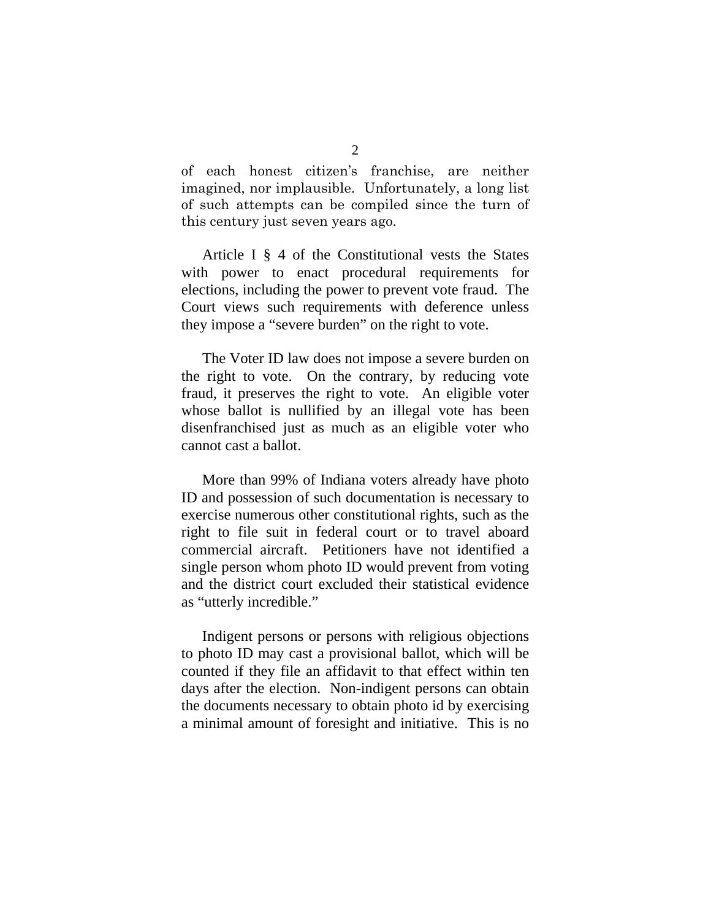of each honest citizen's franchise, are neither imagined, nor implausible. Unfortunately, a long list of such attempts can be compiled since the turn of this century just seven years ago.

Article I § 4 of the Constitutional vests the States with power to enact procedural requirements for elections, including the power to prevent vote fraud. The Court views such requirements with deference unless they impose a "severe burden" on the right to vote.

The Voter ID law does not impose a severe burden on the right to vote. On the contrary, by reducing vote fraud, it preserves the right to vote. An eligible voter whose ballot is nullified by an illegal vote has been disenfranchised just as much as an eligible voter who cannot cast a ballot.

 More than 99% of Indiana voters already have photo ID and possession of such documentation is necessary to exercise numerous other constitutional rights, such as the right to file suit in federal court or to travel aboard commercial aircraft. Petitioners have not identified a single person whom photo ID would prevent from voting and the district court excluded their statistical evidence as "utterly incredible."

 Indigent persons or persons with religious objections to photo ID may cast a provisional ballot, which will be counted if they file an affidavit to that effect within ten days after the election. Non-indigent persons can obtain the documents necessary to obtain photo id by exercising a minimal amount of foresight and initiative. This is no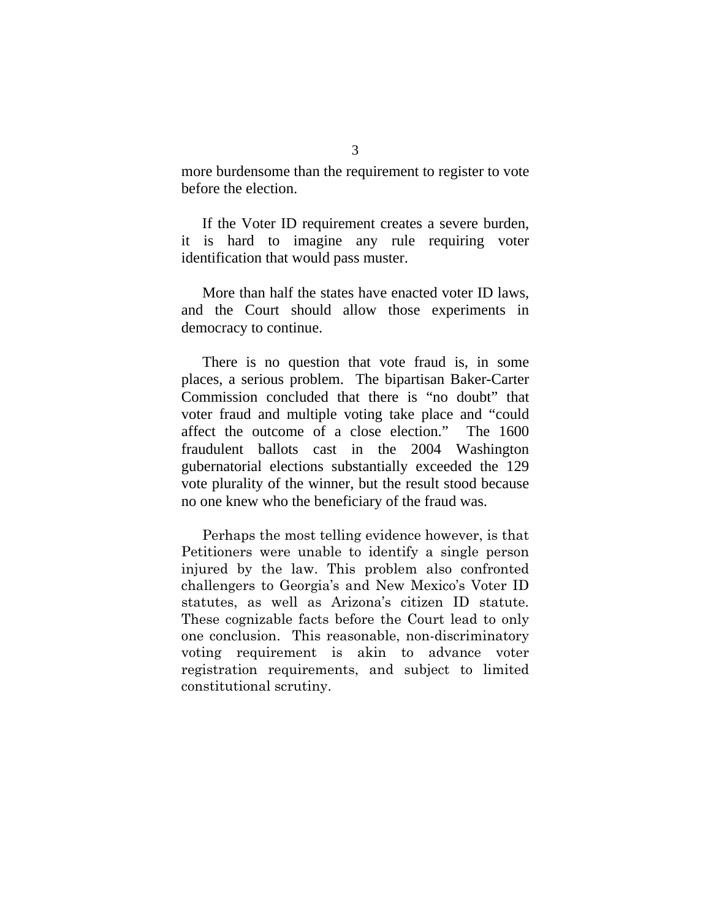more burdensome than the requirement to register to vote before the election.

 If the Voter ID requirement creates a severe burden, it is hard to imagine any rule requiring voter identification that would pass muster.

More than half the states have enacted voter ID laws, and the Court should allow those experiments in democracy to continue.

 There is no question that vote fraud is, in some places, a serious problem. The bipartisan Baker-Carter Commission concluded that there is "no doubt" that voter fraud and multiple voting take place and "could affect the outcome of a close election." The 1600 fraudulent ballots cast in the 2004 Washington gubernatorial elections substantially exceeded the 129 vote plurality of the winner, but the result stood because no one knew who the beneficiary of the fraud was.

Perhaps the most telling evidence however, is that Petitioners were unable to identify a single person injured by the law. This problem also confronted challengers to Georgia's and New Mexico's Voter ID statutes, as well as Arizona's citizen ID statute. These cognizable facts before the Court lead to only one conclusion. This reasonable, non-discriminatory voting requirement is akin to advance voter registration requirements, and subject to limited constitutional scrutiny.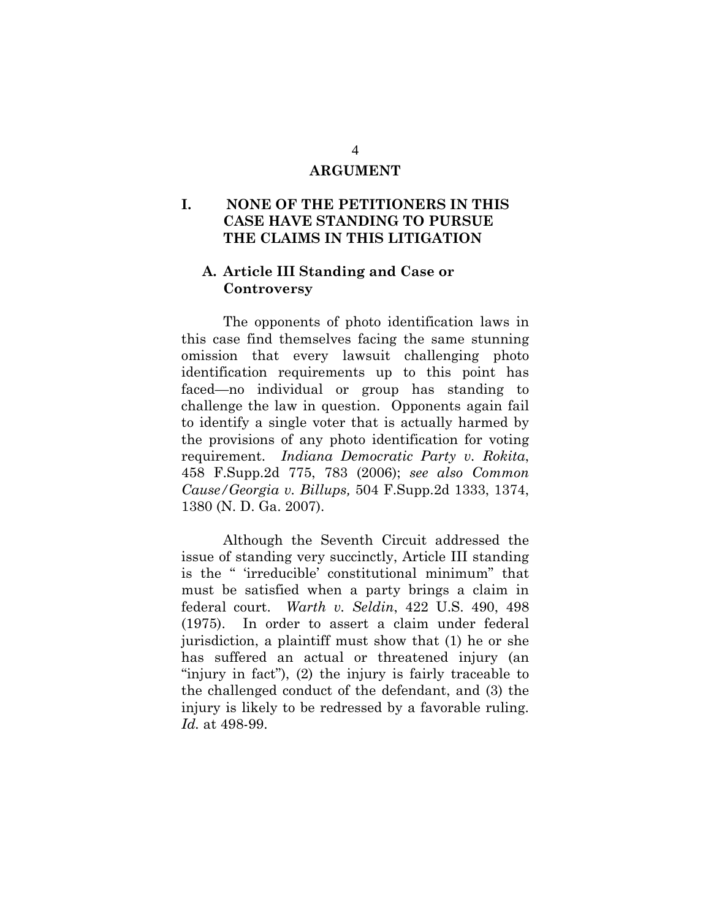#### **ARGUMENT**

## <span id="page-11-0"></span>**I. NONE OF THE PETITIONERS IN THIS CASE HAVE STANDING TO PURSUE THE CLAIMS IN THIS LITIGATION**

### **A. Article III Standing and Case or Controversy**

The opponents of photo identification laws in this case find themselves facing the same stunning omission that every lawsuit challenging photo identification requirements up to this point has faced—no individual or group has standing to challenge the law in question. Opponents again fail to identify a single voter that is actually harmed by the provisions of any photo identification for voting requirement. *Indiana Democratic Party v. Rokita*, 458 F.Supp.2d 775, 783 (2006); *see also Common Cause/Georgia v. Billups,* 504 F.Supp.2d 1333, 1374, 1380 (N. D. Ga. 2007).

Although the Seventh Circuit addressed the issue of standing very succinctly, Article III standing is the " 'irreducible' constitutional minimum" that must be satisfied when a party brings a claim in federal court. *Warth v. Seldin*, 422 U.S. 490, 498 (1975). In order to assert a claim under federal jurisdiction, a plaintiff must show that (1) he or she has suffered an actual or threatened injury (an "injury in fact"), (2) the injury is fairly traceable to the challenged conduct of the defendant, and (3) the injury is likely to be redressed by a favorable ruling. *Id.* at 498-99.

#### 4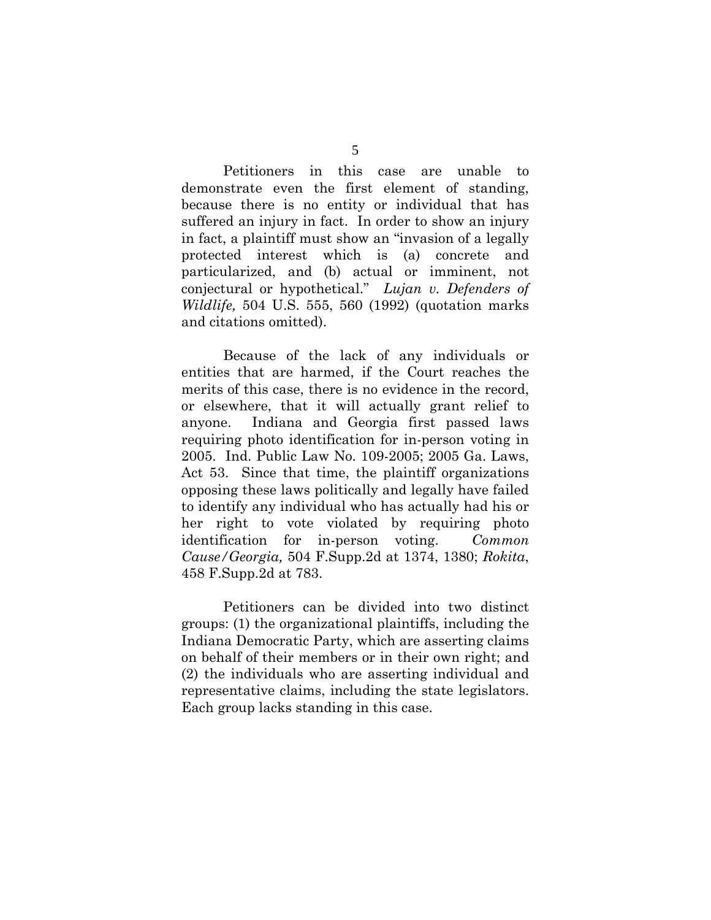Petitioners in this case are unable to demonstrate even the first element of standing, because there is no entity or individual that has suffered an injury in fact. In order to show an injury in fact, a plaintiff must show an "invasion of a legally protected interest which is (a) concrete and particularized, and (b) actual or imminent, not conjectural or hypothetical." *Lujan v. Defenders of Wildlife,* 504 U.S. 555, 560 (1992) (quotation marks and citations omitted).

Because of the lack of any individuals or entities that are harmed, if the Court reaches the merits of this case, there is no evidence in the record, or elsewhere, that it will actually grant relief to anyone. Indiana and Georgia first passed laws requiring photo identification for in-person voting in 2005. Ind. Public Law No. 109-2005; 2005 Ga. Laws, Act 53. Since that time, the plaintiff organizations opposing these laws politically and legally have failed to identify any individual who has actually had his or her right to vote violated by requiring photo identification for in-person voting. *Common Cause/Georgia,* 504 F.Supp.2d at 1374, 1380; *Rokita*, 458 F.Supp.2d at 783.

Petitioners can be divided into two distinct groups: (1) the organizational plaintiffs, including the Indiana Democratic Party, which are asserting claims on behalf of their members or in their own right; and (2) the individuals who are asserting individual and representative claims, including the state legislators. Each group lacks standing in this case.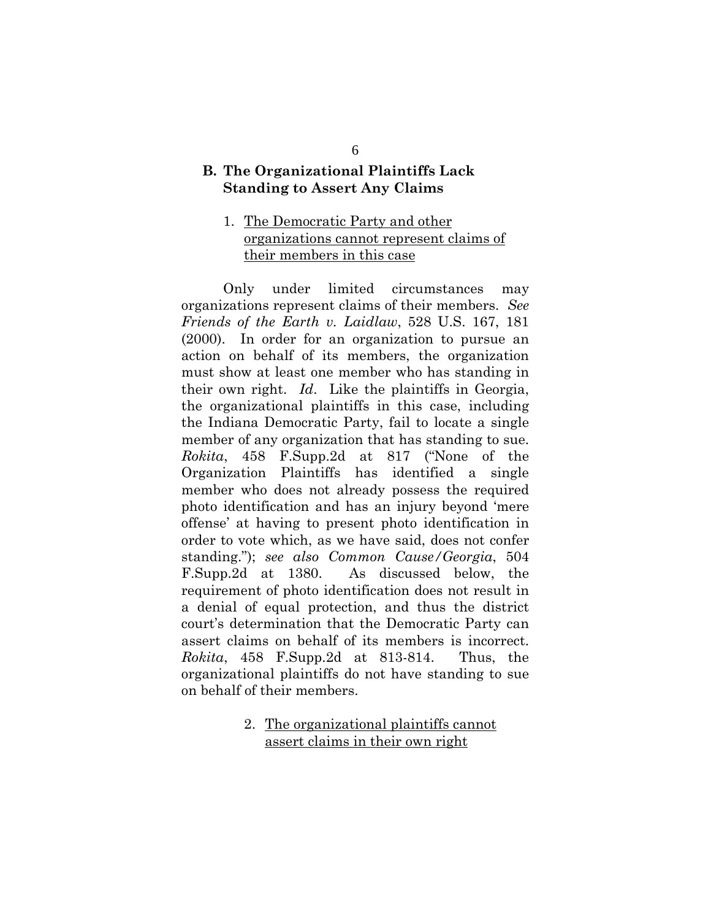### <span id="page-13-0"></span>**B. The Organizational Plaintiffs Lack Standing to Assert Any Claims**

### 1. The Democratic Party and other organizations cannot represent claims of their members in this case

Only under limited circumstances may organizations represent claims of their members. *See Friends of the Earth v. Laidlaw*, 528 U.S. 167, 181 (2000). In order for an organization to pursue an action on behalf of its members, the organization must show at least one member who has standing in their own right. *Id*. Like the plaintiffs in Georgia, the organizational plaintiffs in this case, including the Indiana Democratic Party, fail to locate a single member of any organization that has standing to sue. *Rokita*, 458 F.Supp.2d at 817 ("None of the Organization Plaintiffs has identified a single member who does not already possess the required photo identification and has an injury beyond 'mere offense' at having to present photo identification in order to vote which, as we have said, does not confer standing."); *see also Common Cause/Georgia*, 504 F.Supp.2d at 1380. As discussed below, the requirement of photo identification does not result in a denial of equal protection, and thus the district court's determination that the Democratic Party can assert claims on behalf of its members is incorrect. *Rokita*, 458 F.Supp.2d at 813-814. Thus, the organizational plaintiffs do not have standing to sue on behalf of their members.

> 2. The organizational plaintiffs cannot assert claims in their own right

6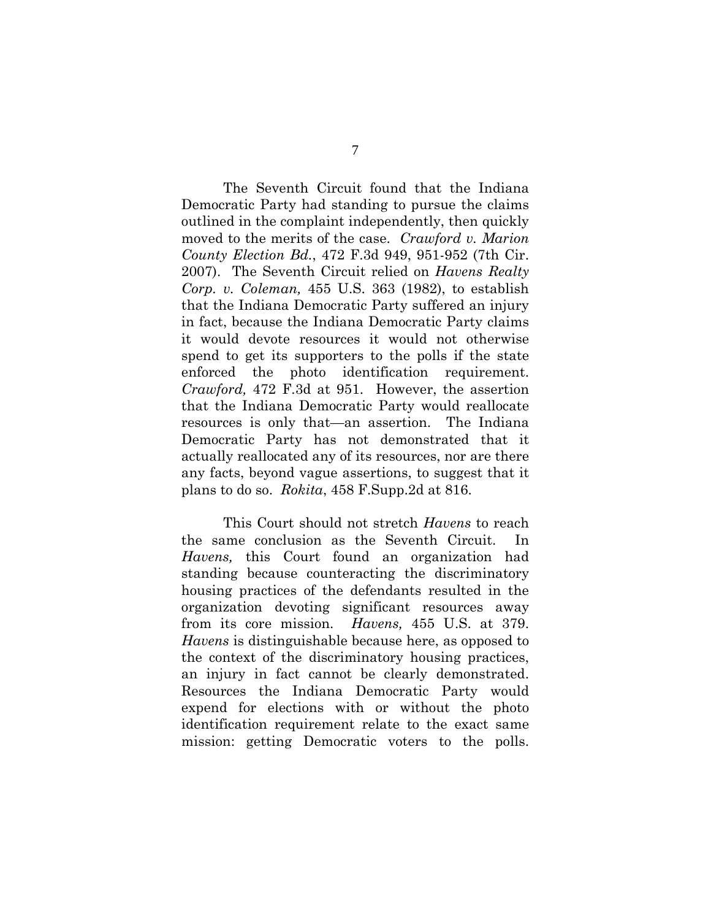The Seventh Circuit found that the Indiana Democratic Party had standing to pursue the claims outlined in the complaint independently, then quickly moved to the merits of the case. *Crawford v. Marion County Election Bd.*, 472 F.3d 949, 951-952 (7th Cir. 2007). The Seventh Circuit relied on *Havens Realty Corp. v. Coleman,* 455 U.S. 363 (1982), to establish that the Indiana Democratic Party suffered an injury in fact, because the Indiana Democratic Party claims it would devote resources it would not otherwise spend to get its supporters to the polls if the state enforced the photo identification requirement. *Crawford,* 472 F.3d at 951. However, the assertion that the Indiana Democratic Party would reallocate resources is only that—an assertion. The Indiana Democratic Party has not demonstrated that it actually reallocated any of its resources, nor are there any facts, beyond vague assertions, to suggest that it plans to do so. *Rokita*, 458 F.Supp.2d at 816.

This Court should not stretch *Havens* to reach the same conclusion as the Seventh Circuit. In *Havens,* this Court found an organization had standing because counteracting the discriminatory housing practices of the defendants resulted in the organization devoting significant resources away from its core mission. *Havens,* 455 U.S. at 379. *Havens* is distinguishable because here, as opposed to the context of the discriminatory housing practices, an injury in fact cannot be clearly demonstrated. Resources the Indiana Democratic Party would expend for elections with or without the photo identification requirement relate to the exact same mission: getting Democratic voters to the polls.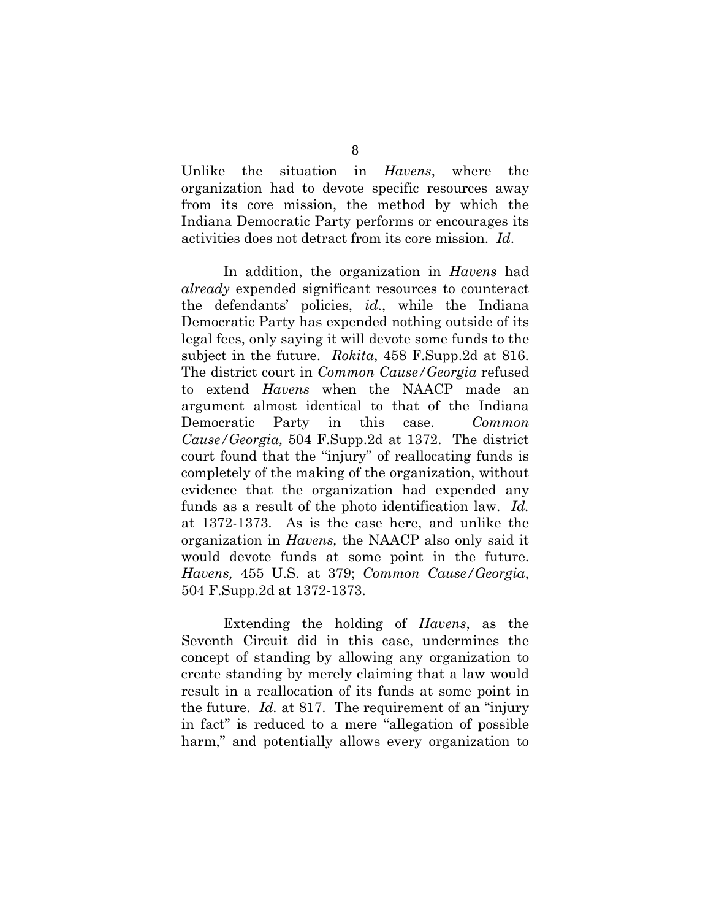Unlike the situation in *Havens*, where the organization had to devote specific resources away from its core mission, the method by which the Indiana Democratic Party performs or encourages its activities does not detract from its core mission. *Id*.

In addition, the organization in *Havens* had *already* expended significant resources to counteract the defendants' policies, *id*., while the Indiana Democratic Party has expended nothing outside of its legal fees, only saying it will devote some funds to the subject in the future. *Rokita*, 458 F.Supp.2d at 816. The district court in *Common Cause/Georgia* refused to extend *Havens* when the NAACP made an argument almost identical to that of the Indiana Democratic Party in this case. *Common Cause/Georgia,* 504 F.Supp.2d at 1372. The district court found that the "injury" of reallocating funds is completely of the making of the organization, without evidence that the organization had expended any funds as a result of the photo identification law. *Id.* at 1372-1373. As is the case here, and unlike the organization in *Havens,* the NAACP also only said it would devote funds at some point in the future. *Havens,* 455 U.S. at 379; *Common Cause/Georgia*, 504 F.Supp.2d at 1372-1373.

Extending the holding of *Havens*, as the Seventh Circuit did in this case, undermines the concept of standing by allowing any organization to create standing by merely claiming that a law would result in a reallocation of its funds at some point in the future. *Id.* at 817. The requirement of an "injury in fact" is reduced to a mere "allegation of possible harm," and potentially allows every organization to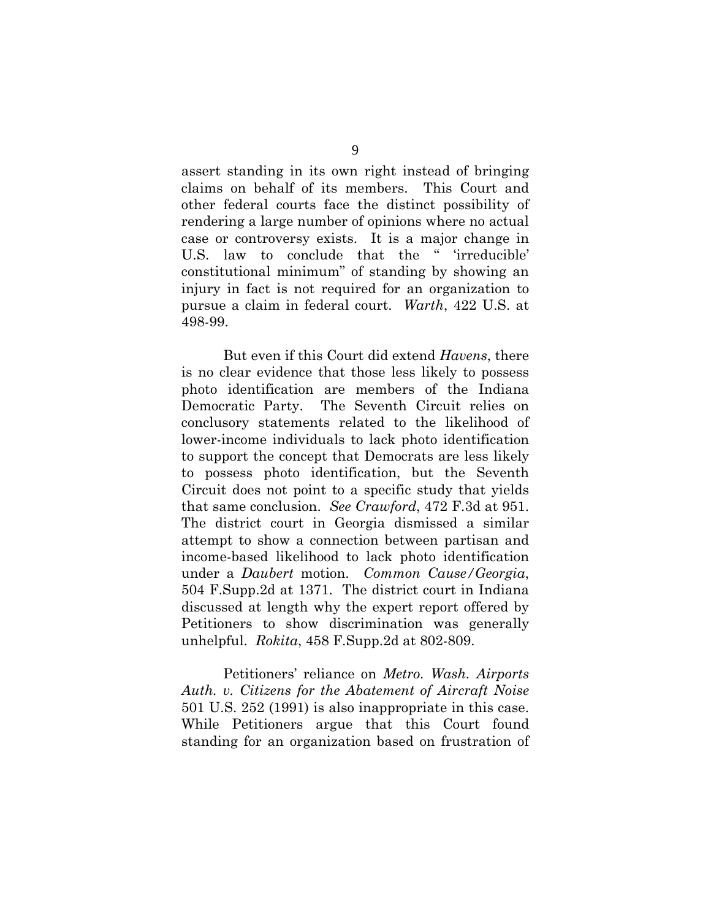assert standing in its own right instead of bringing claims on behalf of its members. This Court and other federal courts face the distinct possibility of rendering a large number of opinions where no actual case or controversy exists. It is a major change in U.S. law to conclude that the " 'irreducible' constitutional minimum" of standing by showing an injury in fact is not required for an organization to pursue a claim in federal court. *Warth*, 422 U.S. at 498-99.

But even if this Court did extend *Havens*, there is no clear evidence that those less likely to possess photo identification are members of the Indiana Democratic Party. The Seventh Circuit relies on conclusory statements related to the likelihood of lower-income individuals to lack photo identification to support the concept that Democrats are less likely to possess photo identification, but the Seventh Circuit does not point to a specific study that yields that same conclusion. *See Crawford*, 472 F.3d at 951. The district court in Georgia dismissed a similar attempt to show a connection between partisan and income-based likelihood to lack photo identification under a *Daubert* motion. *Common Cause/Georgia*, 504 F.Supp.2d at 1371. The district court in Indiana discussed at length why the expert report offered by Petitioners to show discrimination was generally unhelpful. *Rokita*, 458 F.Supp.2d at 802-809.

Petitioners' reliance on *Metro. Wash. Airports Auth. v. Citizens for the Abatement of Aircraft Noise* 501 U.S. 252 (1991) is also inappropriate in this case. While Petitioners argue that this Court found standing for an organization based on frustration of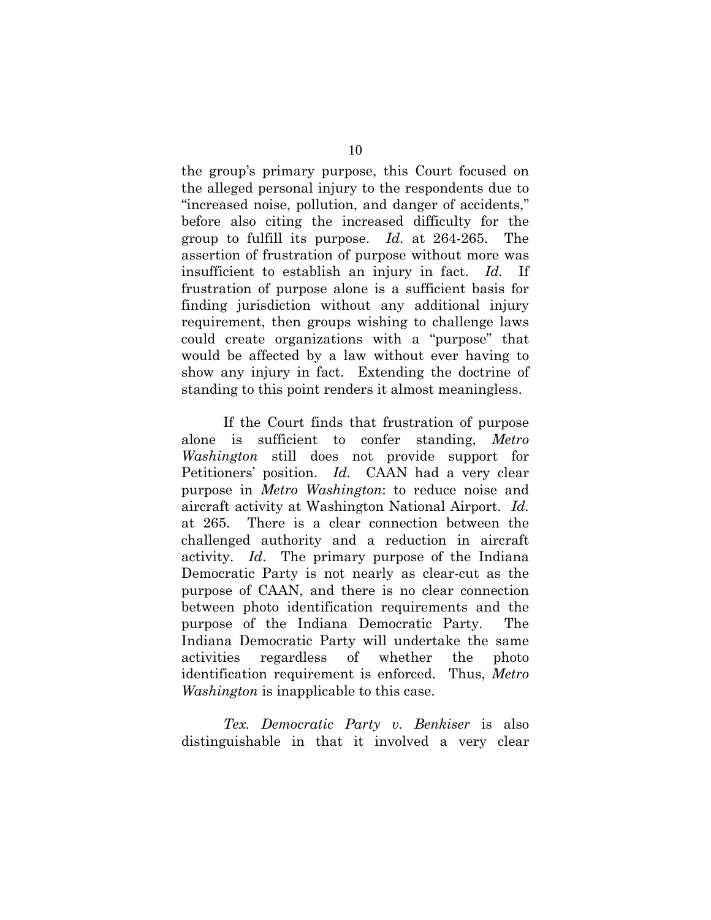the group's primary purpose, this Court focused on the alleged personal injury to the respondents due to "increased noise, pollution, and danger of accidents," before also citing the increased difficulty for the group to fulfill its purpose. *Id.* at 264-265. The assertion of frustration of purpose without more was insufficient to establish an injury in fact. *Id.* If frustration of purpose alone is a sufficient basis for finding jurisdiction without any additional injury requirement, then groups wishing to challenge laws could create organizations with a "purpose" that would be affected by a law without ever having to show any injury in fact. Extending the doctrine of standing to this point renders it almost meaningless.

If the Court finds that frustration of purpose alone is sufficient to confer standing, *Metro Washington* still does not provide support for Petitioners' position. *Id.* CAAN had a very clear purpose in *Metro Washington*: to reduce noise and aircraft activity at Washington National Airport. *Id.* at 265. There is a clear connection between the challenged authority and a reduction in aircraft activity. *Id*. The primary purpose of the Indiana Democratic Party is not nearly as clear-cut as the purpose of CAAN, and there is no clear connection between photo identification requirements and the purpose of the Indiana Democratic Party. The Indiana Democratic Party will undertake the same activities regardless of whether the photo identification requirement is enforced. Thus, *Metro Washington* is inapplicable to this case.

*Tex. Democratic Party v. Benkiser* is also distinguishable in that it involved a very clear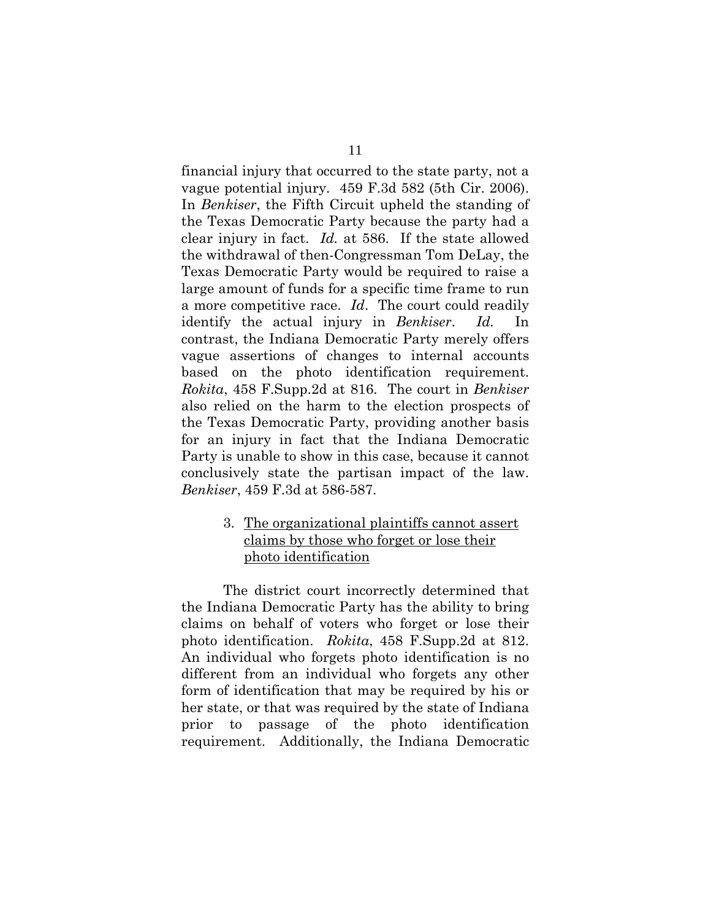<span id="page-18-0"></span>financial injury that occurred to the state party, not a vague potential injury. 459 F.3d 582 (5th Cir. 2006). In *Benkiser*, the Fifth Circuit upheld the standing of the Texas Democratic Party because the party had a clear injury in fact. *Id.* at 586. If the state allowed the withdrawal of then-Congressman Tom DeLay, the Texas Democratic Party would be required to raise a large amount of funds for a specific time frame to run a more competitive race. *Id*. The court could readily identify the actual injury in *Benkiser*. *Id.* In contrast, the Indiana Democratic Party merely offers vague assertions of changes to internal accounts based on the photo identification requirement. *Rokita*, 458 F.Supp.2d at 816. The court in *Benkiser* also relied on the harm to the election prospects of the Texas Democratic Party, providing another basis for an injury in fact that the Indiana Democratic Party is unable to show in this case, because it cannot conclusively state the partisan impact of the law. *Benkiser*, 459 F.3d at 586-587.

### 3. The organizational plaintiffs cannot assert claims by those who forget or lose their photo identification

The district court incorrectly determined that the Indiana Democratic Party has the ability to bring claims on behalf of voters who forget or lose their photo identification. *Rokita*, 458 F.Supp.2d at 812. An individual who forgets photo identification is no different from an individual who forgets any other form of identification that may be required by his or her state, or that was required by the state of Indiana prior to passage of the photo identification requirement. Additionally, the Indiana Democratic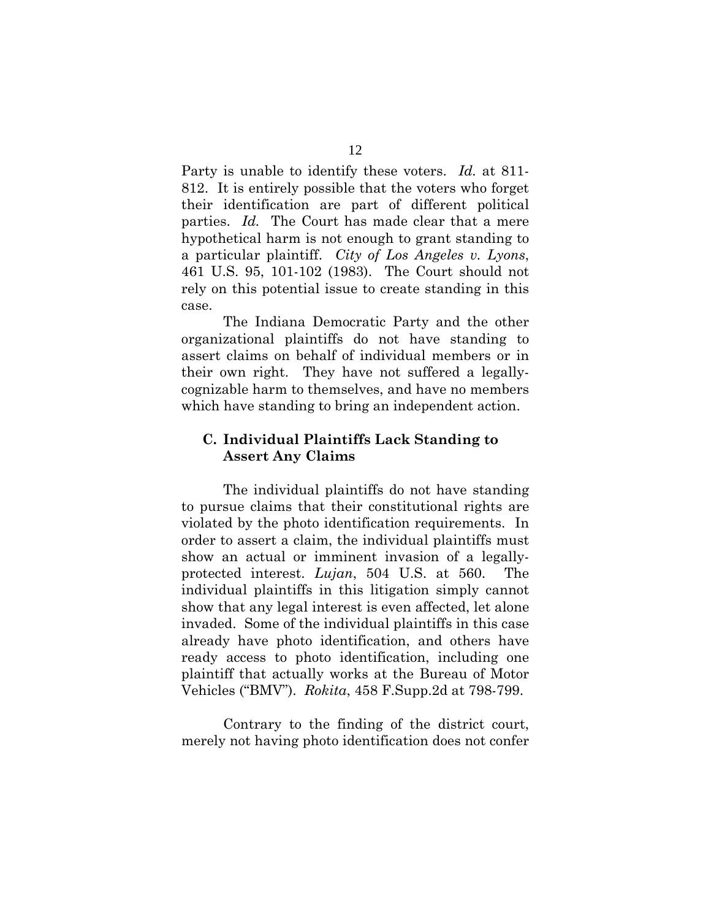<span id="page-19-0"></span>Party is unable to identify these voters. *Id.* at 811- 812. It is entirely possible that the voters who forget their identification are part of different political parties. *Id.* The Court has made clear that a mere hypothetical harm is not enough to grant standing to a particular plaintiff. *City of Los Angeles v. Lyons*, 461 U.S. 95, 101-102 (1983). The Court should not rely on this potential issue to create standing in this case.

The Indiana Democratic Party and the other organizational plaintiffs do not have standing to assert claims on behalf of individual members or in their own right. They have not suffered a legallycognizable harm to themselves, and have no members which have standing to bring an independent action.

### **C. Individual Plaintiffs Lack Standing to Assert Any Claims**

The individual plaintiffs do not have standing to pursue claims that their constitutional rights are violated by the photo identification requirements. In order to assert a claim, the individual plaintiffs must show an actual or imminent invasion of a legallyprotected interest. *Lujan*, 504 U.S. at 560. The individual plaintiffs in this litigation simply cannot show that any legal interest is even affected, let alone invaded. Some of the individual plaintiffs in this case already have photo identification, and others have ready access to photo identification, including one plaintiff that actually works at the Bureau of Motor Vehicles ("BMV"). *Rokita*, 458 F.Supp.2d at 798-799.

Contrary to the finding of the district court, merely not having photo identification does not confer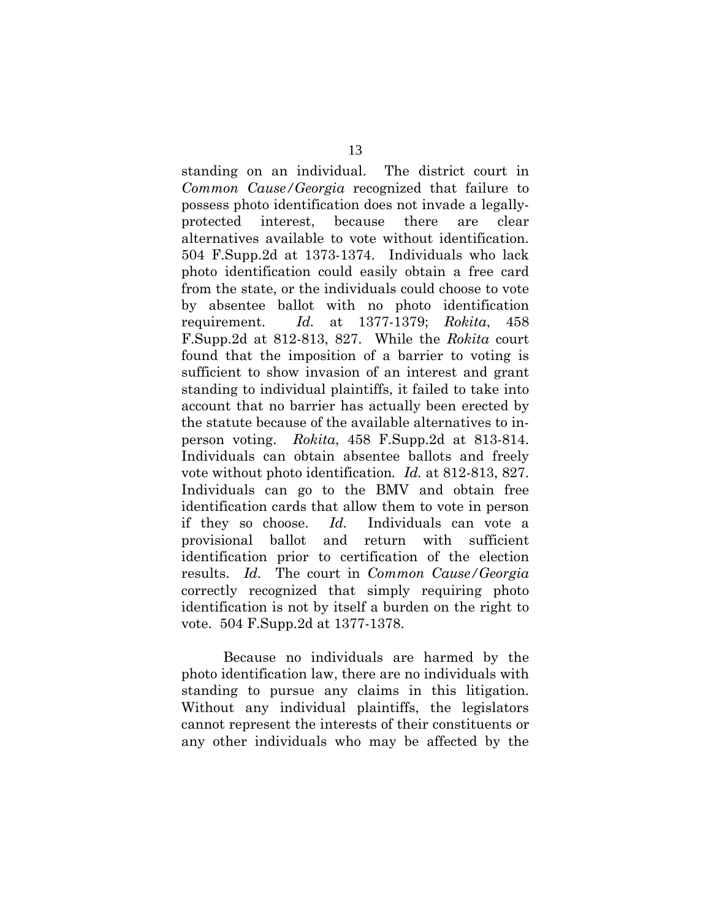standing on an individual. The district court in *Common Cause/Georgia* recognized that failure to possess photo identification does not invade a legallyprotected interest, because there are clear alternatives available to vote without identification. 504 F.Supp.2d at 1373-1374. Individuals who lack photo identification could easily obtain a free card from the state, or the individuals could choose to vote by absentee ballot with no photo identification requirement. *Id.* at 1377-1379; *Rokita*, 458 F.Supp.2d at 812-813, 827. While the *Rokita* court found that the imposition of a barrier to voting is sufficient to show invasion of an interest and grant standing to individual plaintiffs, it failed to take into account that no barrier has actually been erected by the statute because of the available alternatives to inperson voting. *Rokita*, 458 F.Supp.2d at 813-814. Individuals can obtain absentee ballots and freely vote without photo identification*. Id.* at 812-813, 827. Individuals can go to the BMV and obtain free identification cards that allow them to vote in person if they so choose. *Id.* Individuals can vote a provisional ballot and return with sufficient identification prior to certification of the election results. *Id.* The court in *Common Cause/Georgia* correctly recognized that simply requiring photo identification is not by itself a burden on the right to vote. 504 F.Supp.2d at 1377-1378.

Because no individuals are harmed by the photo identification law, there are no individuals with standing to pursue any claims in this litigation. Without any individual plaintiffs, the legislators cannot represent the interests of their constituents or any other individuals who may be affected by the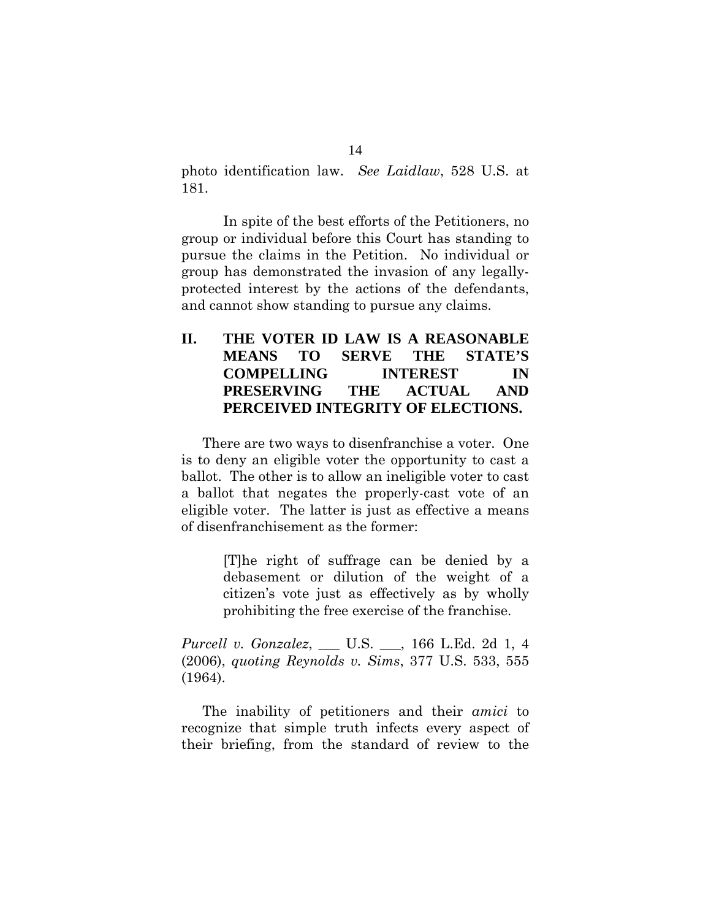<span id="page-21-0"></span>photo identification law. *See Laidlaw*, 528 U.S. at 181.

In spite of the best efforts of the Petitioners, no group or individual before this Court has standing to pursue the claims in the Petition. No individual or group has demonstrated the invasion of any legallyprotected interest by the actions of the defendants, and cannot show standing to pursue any claims.

# **II. THE VOTER ID LAW IS A REASONABLE MEANS TO SERVE THE STATE'S COMPELLING INTEREST IN PRESERVING THE ACTUAL AND PERCEIVED INTEGRITY OF ELECTIONS.**

There are two ways to disenfranchise a voter. One is to deny an eligible voter the opportunity to cast a ballot. The other is to allow an ineligible voter to cast a ballot that negates the properly-cast vote of an eligible voter. The latter is just as effective a means of disenfranchisement as the former:

> [T]he right of suffrage can be denied by a debasement or dilution of the weight of a citizen's vote just as effectively as by wholly prohibiting the free exercise of the franchise.

*Purcell v. Gonzalez*, \_\_\_ U.S. \_\_\_, 166 L.Ed. 2d 1, 4 (2006), *quoting Reynolds v. Sims*, 377 U.S. 533, 555 (1964).

 The inability of petitioners and their *amici* to recognize that simple truth infects every aspect of their briefing, from the standard of review to the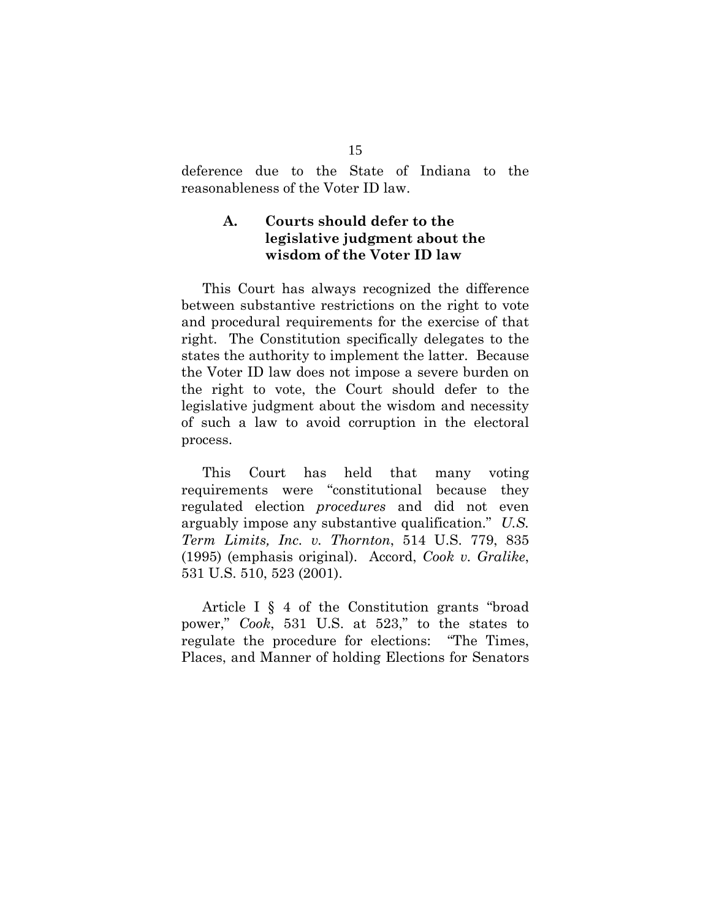<span id="page-22-0"></span>deference due to the State of Indiana to the reasonableness of the Voter ID law.

### **A. Courts should defer to the legislative judgment about the wisdom of the Voter ID law**

 This Court has always recognized the difference between substantive restrictions on the right to vote and procedural requirements for the exercise of that right. The Constitution specifically delegates to the states the authority to implement the latter. Because the Voter ID law does not impose a severe burden on the right to vote, the Court should defer to the legislative judgment about the wisdom and necessity of such a law to avoid corruption in the electoral process.

 This Court has held that many voting requirements were "constitutional because they regulated election *procedures* and did not even arguably impose any substantive qualification." *U.S. Term Limits, Inc. v. Thornton*, 514 U.S. 779, 835 (1995) (emphasis original). Accord, *Cook v. Gralike*, 531 U.S. 510, 523 (2001).

 Article I § 4 of the Constitution grants "broad power," *Cook*, 531 U.S. at 523," to the states to regulate the procedure for elections: "The Times, Places, and Manner of holding Elections for Senators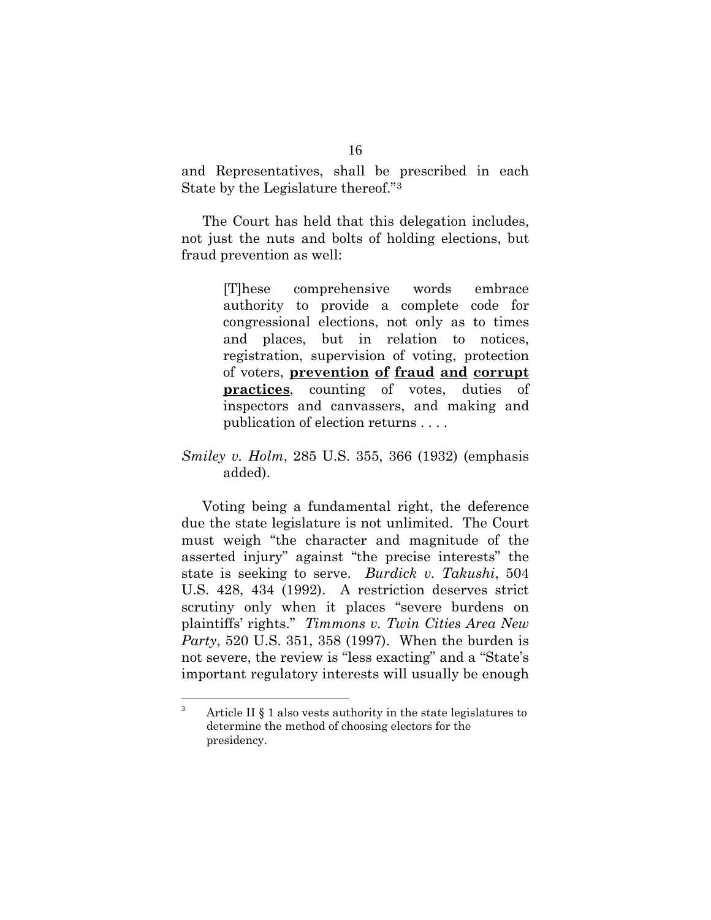and Representatives, shall be prescribed in each State by the Legislature thereof."[3](#page-23-0)

 The Court has held that this delegation includes, not just the nuts and bolts of holding elections, but fraud prevention as well:

> [T]hese comprehensive words embrace authority to provide a complete code for congressional elections, not only as to times and places, but in relation to notices, registration, supervision of voting, protection of voters, **prevention of fraud and corrupt practices**, counting of votes, duties of inspectors and canvassers, and making and publication of election returns . . . .

### *Smiley v. Holm*, 285 U.S. 355, 366 (1932) (emphasis added).

 Voting being a fundamental right, the deference due the state legislature is not unlimited. The Court must weigh "the character and magnitude of the asserted injury" against "the precise interests" the state is seeking to serve. *Burdick v. Takushi*, 504 U.S. 428, 434 (1992). A restriction deserves strict scrutiny only when it places "severe burdens on plaintiffs' rights." *Timmons v. Twin Cities Area New Party*, 520 U.S. 351, 358 (1997). When the burden is not severe, the review is "less exacting" and a "State's important regulatory interests will usually be enough

<span id="page-23-0"></span> 3 Article II § 1 also vests authority in the state legislatures to determine the method of choosing electors for the presidency.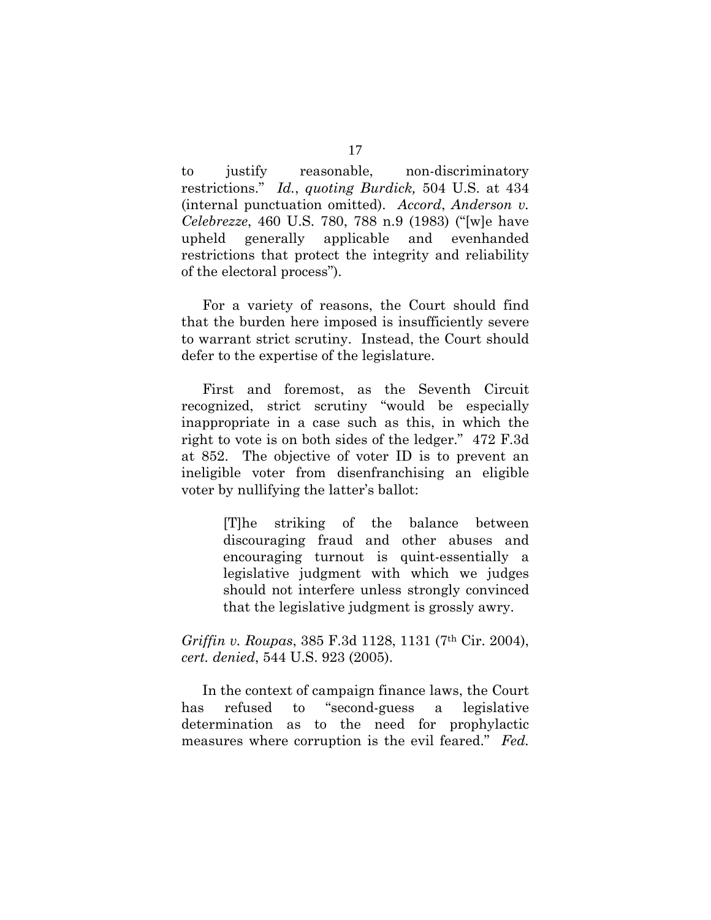to justify reasonable, non-discriminatory restrictions." *Id.*, *quoting Burdick,* 504 U.S. at 434 (internal punctuation omitted). *Accord*, *Anderson v. Celebrezze*, 460 U.S. 780, 788 n.9 (1983) ("[w]e have upheld generally applicable and evenhanded restrictions that protect the integrity and reliability of the electoral process").

 For a variety of reasons, the Court should find that the burden here imposed is insufficiently severe to warrant strict scrutiny. Instead, the Court should defer to the expertise of the legislature.

 First and foremost, as the Seventh Circuit recognized, strict scrutiny "would be especially inappropriate in a case such as this, in which the right to vote is on both sides of the ledger." 472 F.3d at 852. The objective of voter ID is to prevent an ineligible voter from disenfranchising an eligible voter by nullifying the latter's ballot:

> [T]he striking of the balance between discouraging fraud and other abuses and encouraging turnout is quint-essentially a legislative judgment with which we judges should not interfere unless strongly convinced that the legislative judgment is grossly awry.

*Griffin v. Roupas*, 385 F.3d 1128, 1131 (7th Cir. 2004), *cert. denied*, 544 U.S. 923 (2005).

 In the context of campaign finance laws, the Court has refused to "second-guess a legislative determination as to the need for prophylactic measures where corruption is the evil feared." *Fed.*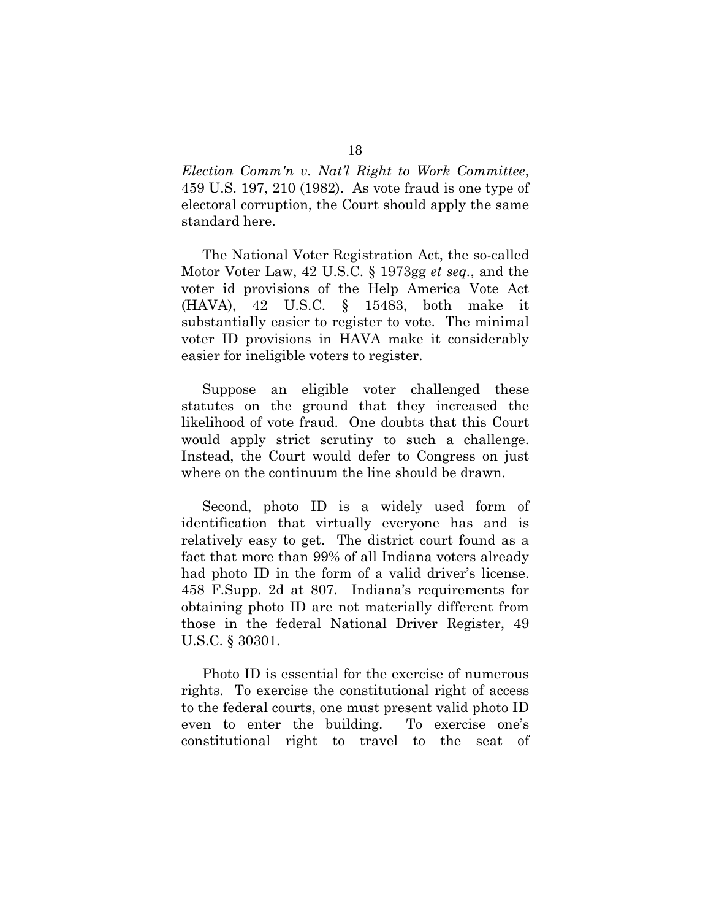*Election Comm'n v. Nat'l Right to Work Committee*, 459 U.S. 197, 210 (1982). As vote fraud is one type of electoral corruption, the Court should apply the same standard here.

 The National Voter Registration Act, the so-called Motor Voter Law, 42 U.S.C. § 1973gg *et seq.*, and the voter id provisions of the Help America Vote Act (HAVA), 42 U.S.C. § 15483, both make it substantially easier to register to vote. The minimal voter ID provisions in HAVA make it considerably easier for ineligible voters to register.

 Suppose an eligible voter challenged these statutes on the ground that they increased the likelihood of vote fraud. One doubts that this Court would apply strict scrutiny to such a challenge. Instead, the Court would defer to Congress on just where on the continuum the line should be drawn.

 Second, photo ID is a widely used form of identification that virtually everyone has and is relatively easy to get. The district court found as a fact that more than 99% of all Indiana voters already had photo ID in the form of a valid driver's license. 458 F.Supp. 2d at 807. Indiana's requirements for obtaining photo ID are not materially different from those in the federal National Driver Register, 49 U.S.C. § 30301.

 Photo ID is essential for the exercise of numerous rights. To exercise the constitutional right of access to the federal courts, one must present valid photo ID even to enter the building. To exercise one's constitutional right to travel to the seat of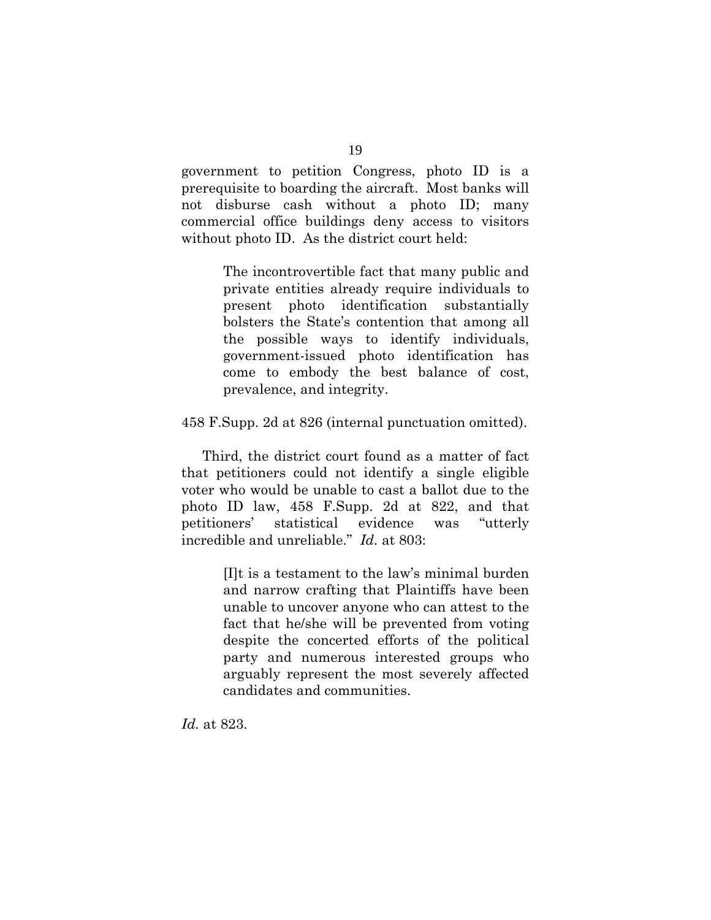government to petition Congress, photo ID is a prerequisite to boarding the aircraft. Most banks will not disburse cash without a photo ID; many commercial office buildings deny access to visitors without photo ID. As the district court held:

> The incontrovertible fact that many public and private entities already require individuals to present photo identification substantially bolsters the State's contention that among all the possible ways to identify individuals, government-issued photo identification has come to embody the best balance of cost, prevalence, and integrity.

458 F.Supp. 2d at 826 (internal punctuation omitted).

 Third, the district court found as a matter of fact that petitioners could not identify a single eligible voter who would be unable to cast a ballot due to the photo ID law, 458 F.Supp. 2d at 822, and that petitioners' statistical evidence was "utterly incredible and unreliable." *Id.* at 803:

> [I]t is a testament to the law's minimal burden and narrow crafting that Plaintiffs have been unable to uncover anyone who can attest to the fact that he/she will be prevented from voting despite the concerted efforts of the political party and numerous interested groups who arguably represent the most severely affected candidates and communities.

*Id.* at 823.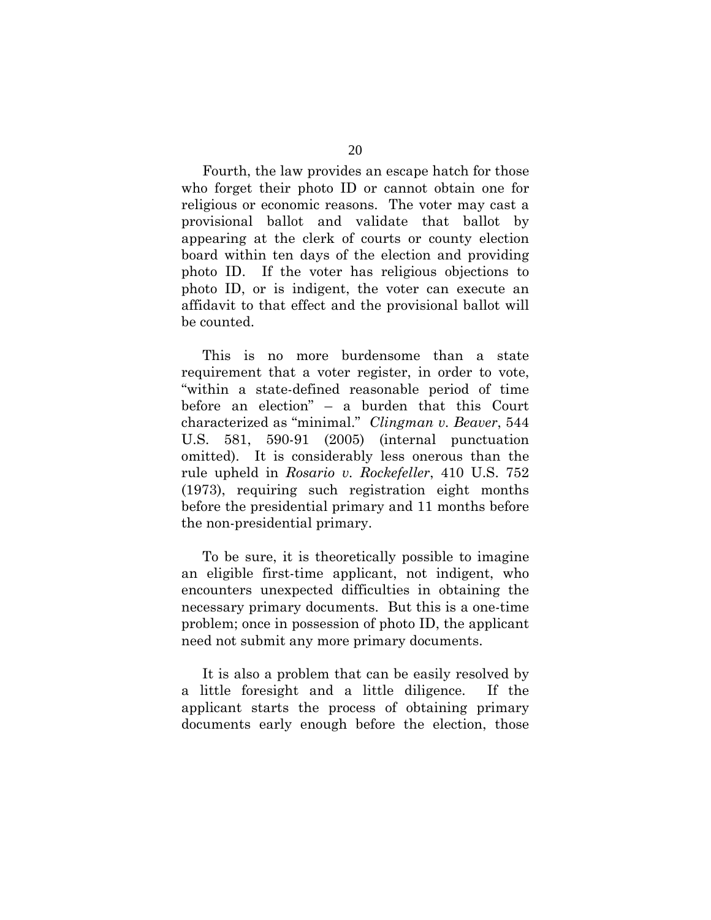Fourth, the law provides an escape hatch for those who forget their photo ID or cannot obtain one for religious or economic reasons. The voter may cast a provisional ballot and validate that ballot by appearing at the clerk of courts or county election board within ten days of the election and providing photo ID. If the voter has religious objections to photo ID, or is indigent, the voter can execute an affidavit to that effect and the provisional ballot will be counted.

 This is no more burdensome than a state requirement that a voter register, in order to vote, "within a state-defined reasonable period of time before an election" – a burden that this Court characterized as "minimal." *Clingman v. Beaver*, 544 U.S. 581, 590-91 (2005) (internal punctuation omitted). It is considerably less onerous than the rule upheld in *Rosario v. Rockefeller*, 410 U.S. 752 (1973), requiring such registration eight months before the presidential primary and 11 months before the non-presidential primary.

 To be sure, it is theoretically possible to imagine an eligible first-time applicant, not indigent, who encounters unexpected difficulties in obtaining the necessary primary documents. But this is a one-time problem; once in possession of photo ID, the applicant need not submit any more primary documents.

 It is also a problem that can be easily resolved by a little foresight and a little diligence. If the applicant starts the process of obtaining primary documents early enough before the election, those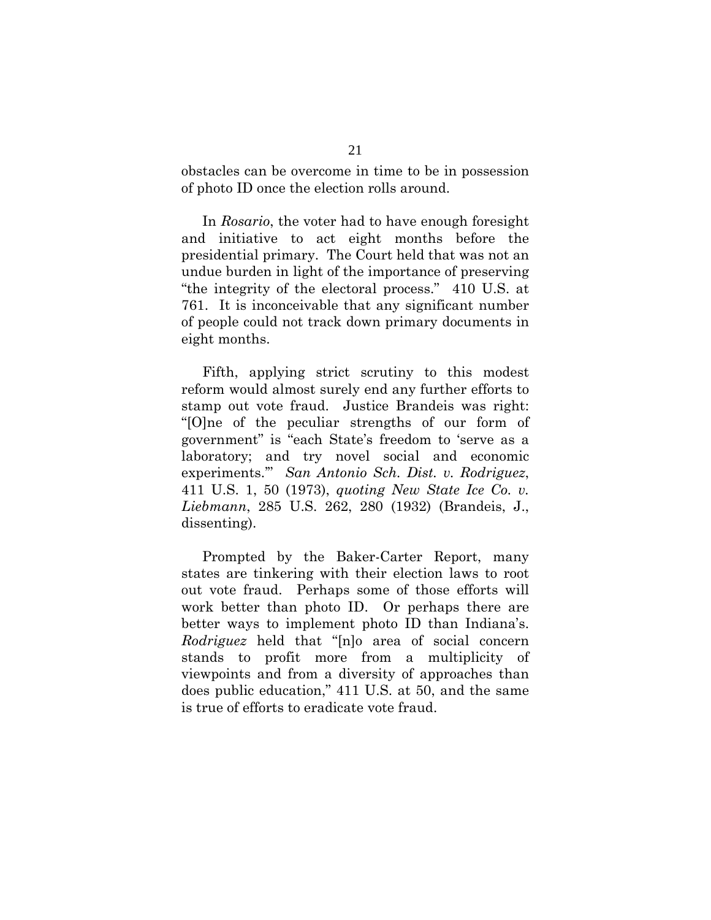obstacles can be overcome in time to be in possession of photo ID once the election rolls around.

 In *Rosario*, the voter had to have enough foresight and initiative to act eight months before the presidential primary. The Court held that was not an undue burden in light of the importance of preserving "the integrity of the electoral process." 410 U.S. at 761. It is inconceivable that any significant number of people could not track down primary documents in eight months.

 Fifth, applying strict scrutiny to this modest reform would almost surely end any further efforts to stamp out vote fraud. Justice Brandeis was right: "[O]ne of the peculiar strengths of our form of government" is "each State's freedom to 'serve as a laboratory; and try novel social and economic experiments.'" *San Antonio Sch. Dist. v. Rodriguez*, 411 U.S. 1, 50 (1973), *quoting New State Ice Co. v. Liebmann*, 285 U.S. 262, 280 (1932) (Brandeis, J., dissenting).

 Prompted by the Baker-Carter Report, many states are tinkering with their election laws to root out vote fraud. Perhaps some of those efforts will work better than photo ID. Or perhaps there are better ways to implement photo ID than Indiana's. *Rodriguez* held that "[n]o area of social concern stands to profit more from a multiplicity of viewpoints and from a diversity of approaches than does public education," 411 U.S. at 50, and the same is true of efforts to eradicate vote fraud.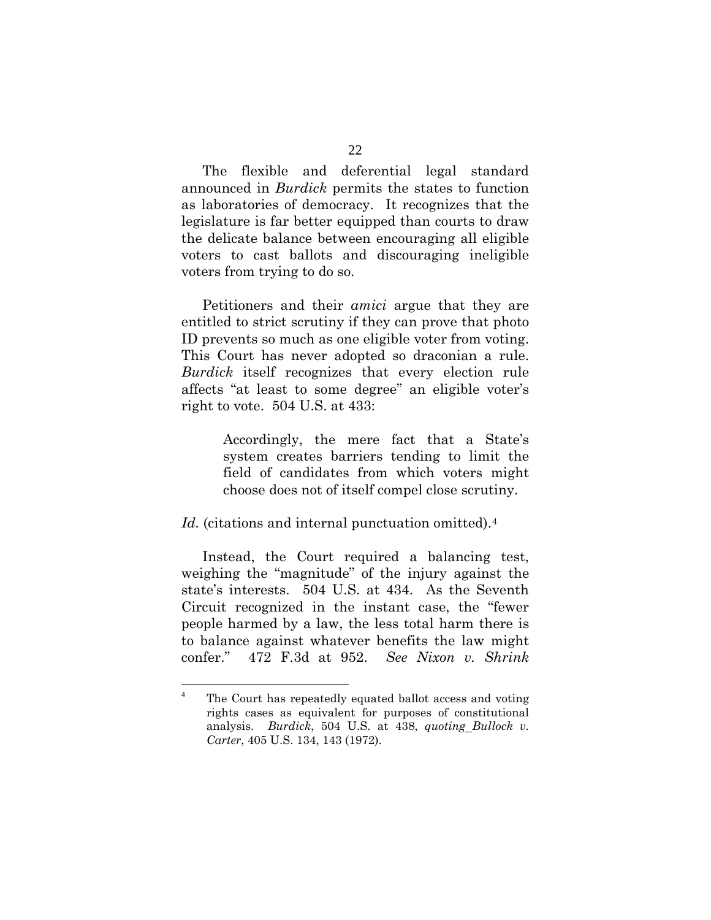The flexible and deferential legal standard announced in *Burdick* permits the states to function as laboratories of democracy. It recognizes that the legislature is far better equipped than courts to draw the delicate balance between encouraging all eligible voters to cast ballots and discouraging ineligible voters from trying to do so.

 Petitioners and their *amici* argue that they are entitled to strict scrutiny if they can prove that photo ID prevents so much as one eligible voter from voting. This Court has never adopted so draconian a rule. *Burdick* itself recognizes that every election rule affects "at least to some degree" an eligible voter's right to vote. 504 U.S. at 433:

> Accordingly, the mere fact that a State's system creates barriers tending to limit the field of candidates from which voters might choose does not of itself compel close scrutiny.

Id. (citations and internal punctuation omitted).<sup>[4](#page-29-0)</sup>

 Instead, the Court required a balancing test, weighing the "magnitude" of the injury against the state's interests. 504 U.S. at 434. As the Seventh Circuit recognized in the instant case, the "fewer people harmed by a law, the less total harm there is to balance against whatever benefits the law might confer." 472 F.3d at 952. *See Nixon v. Shrink* 

<span id="page-29-0"></span> $\frac{1}{4}$  The Court has repeatedly equated ballot access and voting rights cases as equivalent for purposes of constitutional analysis. *Burdick*, 504 U.S. at 438, *quoting Bullock v. Carter*, 405 U.S. 134, 143 (1972).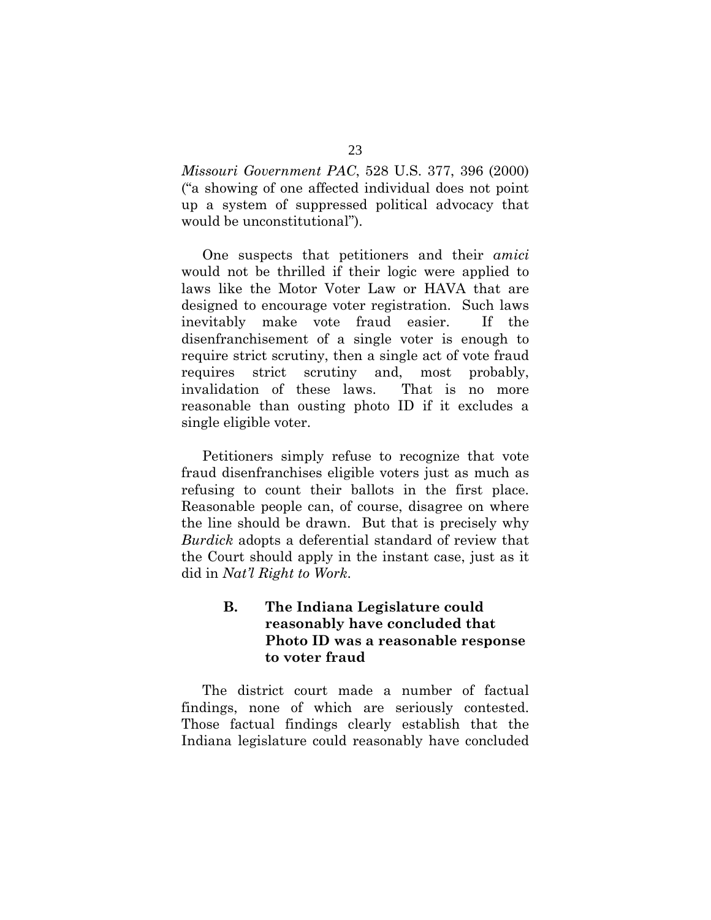<span id="page-30-0"></span>*Missouri Government PAC*, 528 U.S. 377, 396 (2000) ("a showing of one affected individual does not point up a system of suppressed political advocacy that would be unconstitutional").

 One suspects that petitioners and their *amici* would not be thrilled if their logic were applied to laws like the Motor Voter Law or HAVA that are designed to encourage voter registration. Such laws inevitably make vote fraud easier. If the disenfranchisement of a single voter is enough to require strict scrutiny, then a single act of vote fraud requires strict scrutiny and, most probably, invalidation of these laws. That is no more reasonable than ousting photo ID if it excludes a single eligible voter.

 Petitioners simply refuse to recognize that vote fraud disenfranchises eligible voters just as much as refusing to count their ballots in the first place. Reasonable people can, of course, disagree on where the line should be drawn. But that is precisely why *Burdick* adopts a deferential standard of review that the Court should apply in the instant case, just as it did in *Nat'l Right to Work*.

# **B. The Indiana Legislature could reasonably have concluded that Photo ID was a reasonable response to voter fraud**

 The district court made a number of factual findings, none of which are seriously contested. Those factual findings clearly establish that the Indiana legislature could reasonably have concluded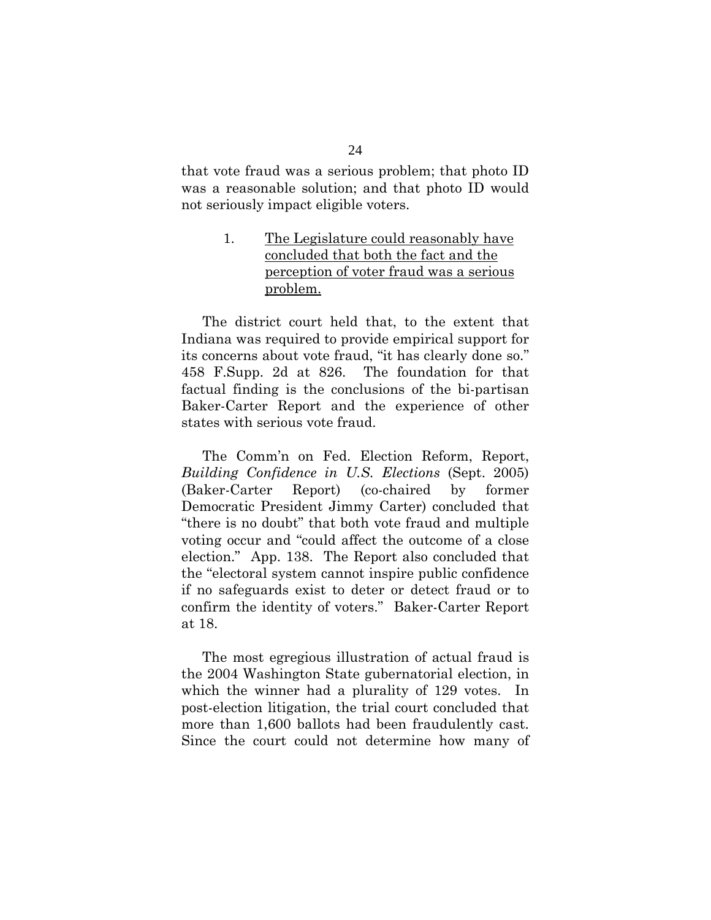<span id="page-31-0"></span>that vote fraud was a serious problem; that photo ID was a reasonable solution; and that photo ID would not seriously impact eligible voters.

# 1. The Legislature could reasonably have concluded that both the fact and the perception of voter fraud was a serious problem.

 The district court held that, to the extent that Indiana was required to provide empirical support for its concerns about vote fraud, "it has clearly done so." 458 F.Supp. 2d at 826. The foundation for that factual finding is the conclusions of the bi-partisan Baker-Carter Report and the experience of other states with serious vote fraud.

 The Comm'n on Fed. Election Reform, Report, *Building Confidence in U.S. Elections* (Sept. 2005) (Baker-Carter Report) (co-chaired by former Democratic President Jimmy Carter) concluded that "there is no doubt" that both vote fraud and multiple voting occur and "could affect the outcome of a close election." App. 138. The Report also concluded that the "electoral system cannot inspire public confidence if no safeguards exist to deter or detect fraud or to confirm the identity of voters." Baker-Carter Report at 18.

 The most egregious illustration of actual fraud is the 2004 Washington State gubernatorial election, in which the winner had a plurality of 129 votes. In post-election litigation, the trial court concluded that more than 1,600 ballots had been fraudulently cast. Since the court could not determine how many of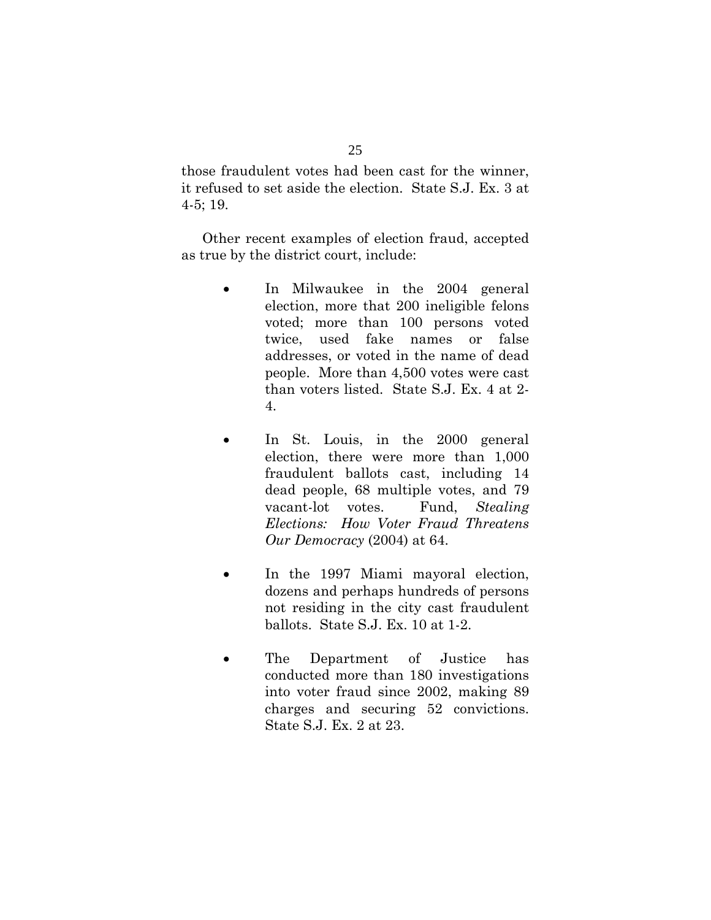those fraudulent votes had been cast for the winner, it refused to set aside the election. State S.J. Ex. 3 at 4-5; 19.

 Other recent examples of election fraud, accepted as true by the district court, include:

- In Milwaukee in the 2004 general election, more that 200 ineligible felons voted; more than 100 persons voted twice, used fake names or false addresses, or voted in the name of dead people. More than 4,500 votes were cast than voters listed. State S.J. Ex. 4 at 2- 4.
- In St. Louis, in the 2000 general election, there were more than 1,000 fraudulent ballots cast, including 14 dead people, 68 multiple votes, and 79 vacant-lot votes. Fund, *Stealing Elections: How Voter Fraud Threatens Our Democracy* (2004) at 64.
- In the 1997 Miami mayoral election, dozens and perhaps hundreds of persons not residing in the city cast fraudulent ballots. State S.J. Ex. 10 at 1-2.
- The Department of Justice has conducted more than 180 investigations into voter fraud since 2002, making 89 charges and securing 52 convictions. State S.J. Ex. 2 at 23.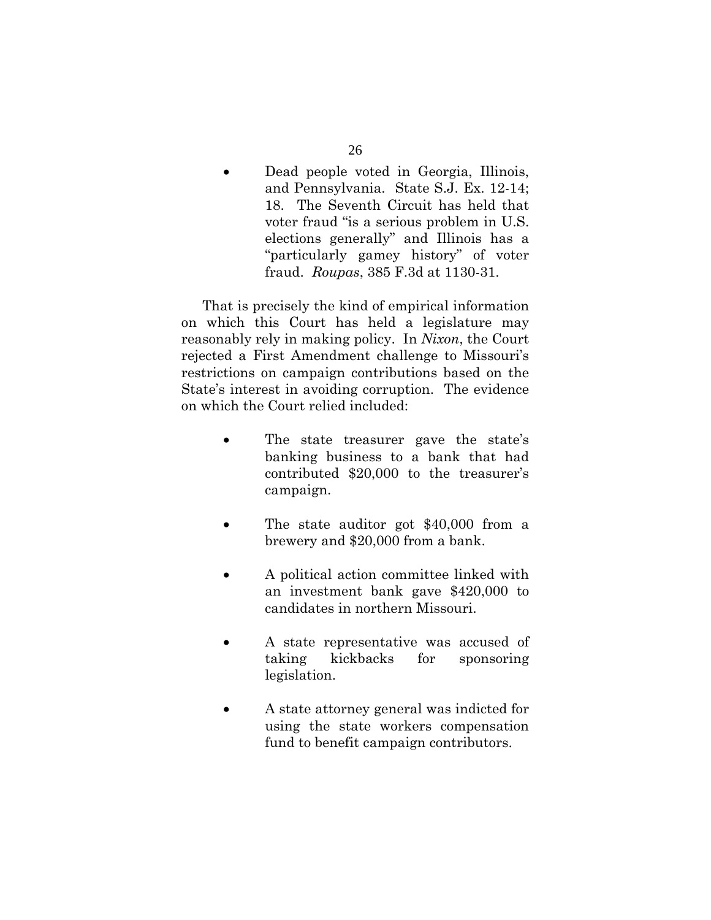• Dead people voted in Georgia, Illinois, and Pennsylvania. State S.J. Ex. 12-14; 18. The Seventh Circuit has held that voter fraud "is a serious problem in U.S. elections generally" and Illinois has a "particularly gamey history" of voter fraud. *Roupas*, 385 F.3d at 1130-31.

 That is precisely the kind of empirical information on which this Court has held a legislature may reasonably rely in making policy. In *Nixon*, the Court rejected a First Amendment challenge to Missouri's restrictions on campaign contributions based on the State's interest in avoiding corruption. The evidence on which the Court relied included:

- The state treasurer gave the state's banking business to a bank that had contributed \$20,000 to the treasurer's campaign.
- The state auditor got \$40,000 from a brewery and \$20,000 from a bank.
- A political action committee linked with an investment bank gave \$420,000 to candidates in northern Missouri.
- A state representative was accused of taking kickbacks for sponsoring legislation.
- A state attorney general was indicted for using the state workers compensation fund to benefit campaign contributors.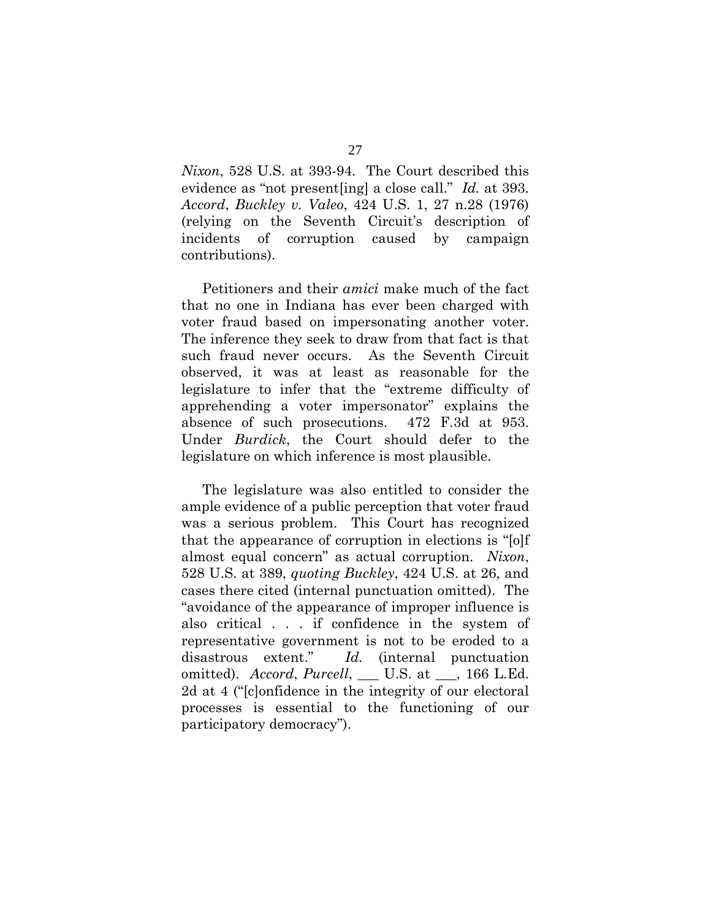*Nixon*, 528 U.S. at 393-94. The Court described this evidence as "not present[ing] a close call." *Id.* at 393. *Accord*, *Buckley v. Valeo*, 424 U.S. 1, 27 n.28 (1976) (relying on the Seventh Circuit's description of incidents of corruption caused by campaign contributions).

 Petitioners and their *amici* make much of the fact that no one in Indiana has ever been charged with voter fraud based on impersonating another voter. The inference they seek to draw from that fact is that such fraud never occurs. As the Seventh Circuit observed, it was at least as reasonable for the legislature to infer that the "extreme difficulty of apprehending a voter impersonator" explains the absence of such prosecutions. 472 F.3d at 953. Under *Burdick*, the Court should defer to the legislature on which inference is most plausible.

 The legislature was also entitled to consider the ample evidence of a public perception that voter fraud was a serious problem. This Court has recognized that the appearance of corruption in elections is "[o]f almost equal concern" as actual corruption. *Nixon*, 528 U.S. at 389, *quoting Buckley*, 424 U.S. at 26, and cases there cited (internal punctuation omitted). The "avoidance of the appearance of improper influence is also critical . . . if confidence in the system of representative government is not to be eroded to a disastrous extent." *Id.* (internal punctuation omitted). *Accord*, *Purcell*, \_\_\_ U.S. at \_\_\_, 166 L.Ed. 2d at 4 ("[c]onfidence in the integrity of our electoral processes is essential to the functioning of our participatory democracy").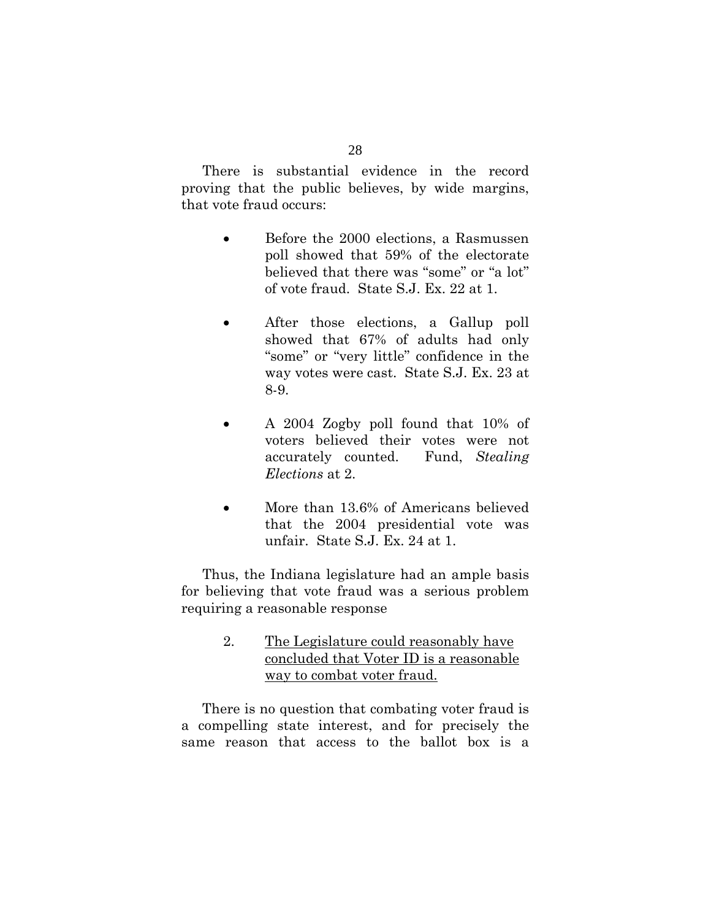<span id="page-35-0"></span> There is substantial evidence in the record proving that the public believes, by wide margins, that vote fraud occurs:

- Before the 2000 elections, a Rasmussen poll showed that 59% of the electorate believed that there was "some" or "a lot" of vote fraud. State S.J. Ex. 22 at 1.
- After those elections, a Gallup poll showed that 67% of adults had only "some" or "very little" confidence in the way votes were cast. State S.J. Ex. 23 at 8-9.
- A 2004 Zogby poll found that 10% of voters believed their votes were not accurately counted. Fund, *Stealing Elections* at 2.
- More than 13.6% of Americans believed that the 2004 presidential vote was unfair. State S.J. Ex. 24 at 1.

 Thus, the Indiana legislature had an ample basis for believing that vote fraud was a serious problem requiring a reasonable response

> 2. The Legislature could reasonably have concluded that Voter ID is a reasonable way to combat voter fraud.

 There is no question that combating voter fraud is a compelling state interest, and for precisely the same reason that access to the ballot box is a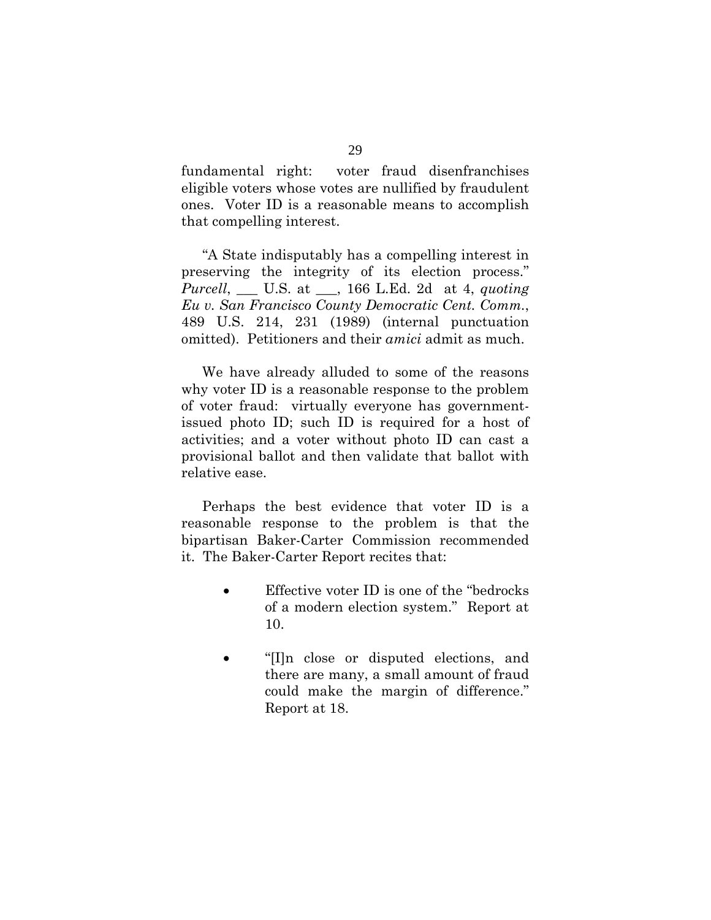fundamental right: voter fraud disenfranchises eligible voters whose votes are nullified by fraudulent ones. Voter ID is a reasonable means to accomplish that compelling interest.

 "A State indisputably has a compelling interest in preserving the integrity of its election process." *Purcell*, \_\_\_ U.S. at \_\_\_, 166 L.Ed. 2d at 4, *quoting Eu v. San Francisco County Democratic Cent. Comm.*, 489 U.S. 214, 231 (1989) (internal punctuation omitted). Petitioners and their *amici* admit as much.

 We have already alluded to some of the reasons why voter ID is a reasonable response to the problem of voter fraud: virtually everyone has governmentissued photo ID; such ID is required for a host of activities; and a voter without photo ID can cast a provisional ballot and then validate that ballot with relative ease.

 Perhaps the best evidence that voter ID is a reasonable response to the problem is that the bipartisan Baker-Carter Commission recommended it. The Baker-Carter Report recites that:

- Effective voter ID is one of the "bedrocks" of a modern election system." Report at 10.
- "[I]n close or disputed elections, and there are many, a small amount of fraud could make the margin of difference." Report at 18.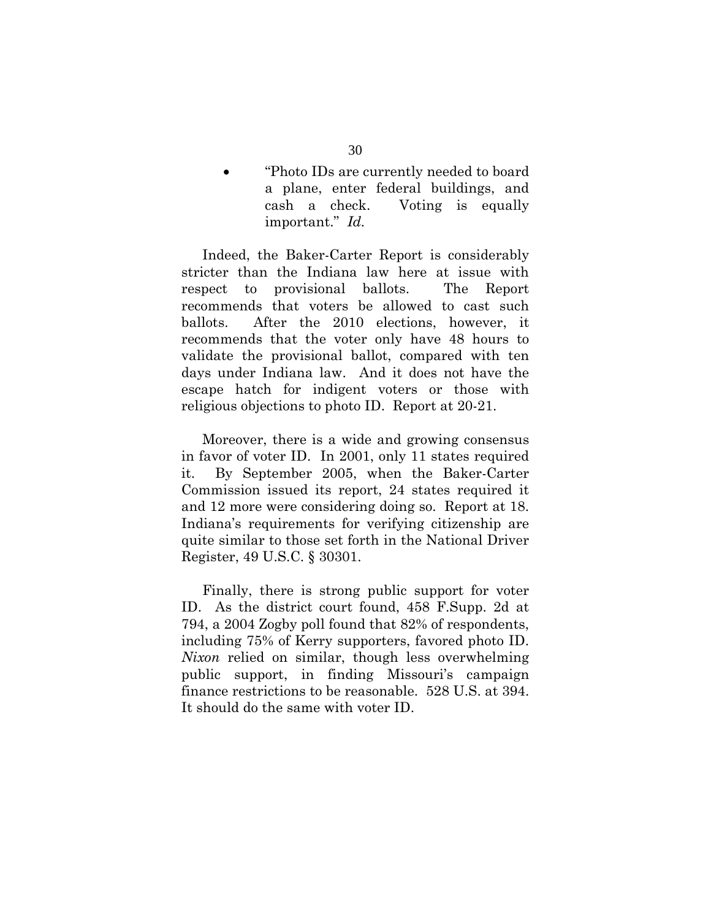• "Photo IDs are currently needed to board a plane, enter federal buildings, and cash a check. Voting is equally important." *Id.*

 Indeed, the Baker-Carter Report is considerably stricter than the Indiana law here at issue with respect to provisional ballots. The Report recommends that voters be allowed to cast such ballots. After the 2010 elections, however, it recommends that the voter only have 48 hours to validate the provisional ballot, compared with ten days under Indiana law. And it does not have the escape hatch for indigent voters or those with religious objections to photo ID. Report at 20-21.

 Moreover, there is a wide and growing consensus in favor of voter ID. In 2001, only 11 states required it. By September 2005, when the Baker-Carter Commission issued its report, 24 states required it and 12 more were considering doing so. Report at 18. Indiana's requirements for verifying citizenship are quite similar to those set forth in the National Driver Register, 49 U.S.C. § 30301.

 Finally, there is strong public support for voter ID. As the district court found, 458 F.Supp. 2d at 794, a 2004 Zogby poll found that 82% of respondents, including 75% of Kerry supporters, favored photo ID. *Nixon* relied on similar, though less overwhelming public support, in finding Missouri's campaign finance restrictions to be reasonable. 528 U.S. at 394. It should do the same with voter ID.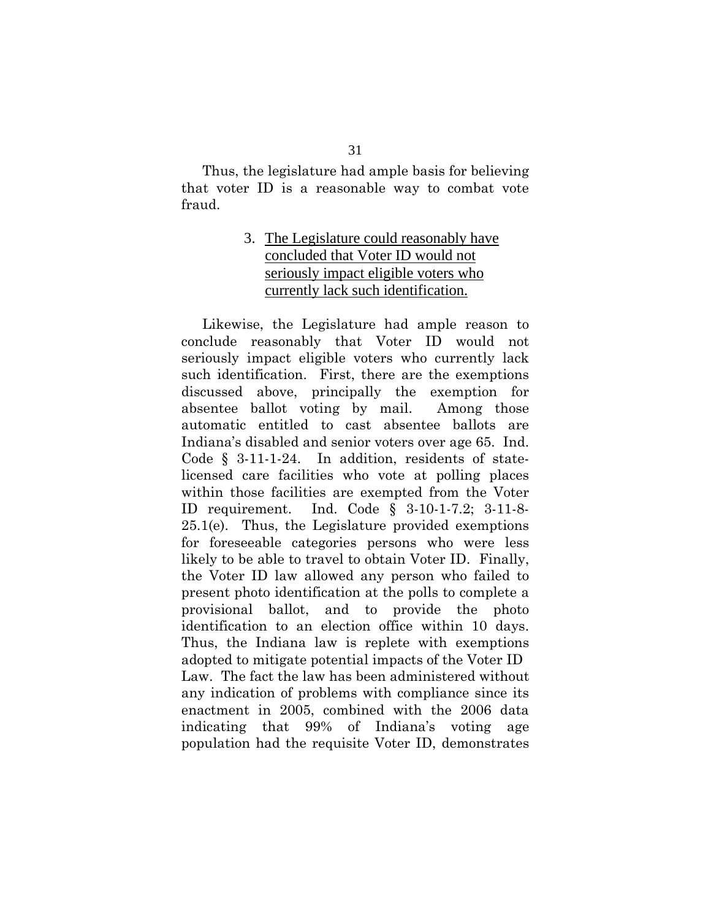<span id="page-38-0"></span> Thus, the legislature had ample basis for believing that voter ID is a reasonable way to combat vote fraud.

# 3. The Legislature could reasonably have concluded that Voter ID would not seriously impact eligible voters who currently lack such identification.

 Likewise, the Legislature had ample reason to conclude reasonably that Voter ID would not seriously impact eligible voters who currently lack such identification. First, there are the exemptions discussed above, principally the exemption for absentee ballot voting by mail. Among those automatic entitled to cast absentee ballots are Indiana's disabled and senior voters over age 65. Ind. Code § 3-11-1-24. In addition, residents of statelicensed care facilities who vote at polling places within those facilities are exempted from the Voter ID requirement. Ind. Code § 3-10-1-7.2; 3-11-8-  $25.1(e)$ . Thus, the Legislature provided exemptions for foreseeable categories persons who were less likely to be able to travel to obtain Voter ID. Finally, the Voter ID law allowed any person who failed to present photo identification at the polls to complete a provisional ballot, and to provide the photo identification to an election office within 10 days. Thus, the Indiana law is replete with exemptions adopted to mitigate potential impacts of the Voter ID Law. The fact the law has been administered without any indication of problems with compliance since its enactment in 2005, combined with the 2006 data indicating that 99% of Indiana's voting age population had the requisite Voter ID, demonstrates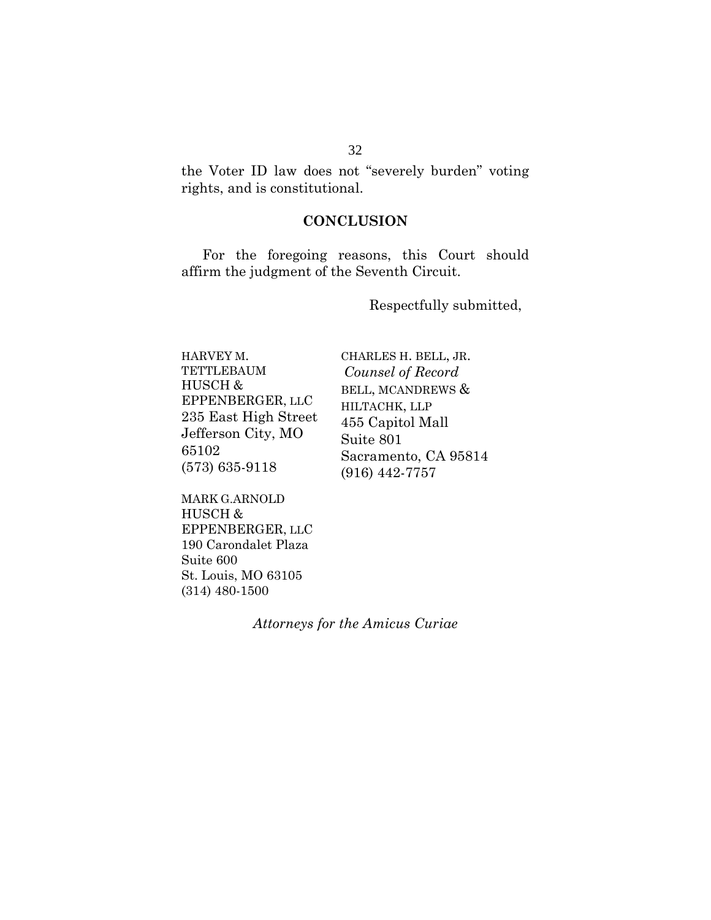<span id="page-39-0"></span>the Voter ID law does not "severely burden" voting rights, and is constitutional.

# **CONCLUSION**

 For the foregoing reasons, this Court should affirm the judgment of the Seventh Circuit.

Respectfully submitted,

| HARVEY M.            | CHARLES H. BELL, JR. |
|----------------------|----------------------|
| <b>TETTLEBAUM</b>    | Counsel of Record    |
| HUSCH &              | BELL, MCANDREWS &    |
| EPPENBERGER, LLC     | HILTACHK, LLP        |
| 235 East High Street | 455 Capitol Mall     |
| Jefferson City, MO   | Suite 801            |
| 65102                | Sacramento, CA 95814 |
| $(573) 635 - 9118$   | $(916)$ 442-7757     |

MARK G.ARNOLD HUSCH & EPPENBERGER, LLC 190 Carondalet Plaza Suite 600 St. Louis, MO 63105 (314) 480-1500

*Attorneys for the Amicus Curiae*